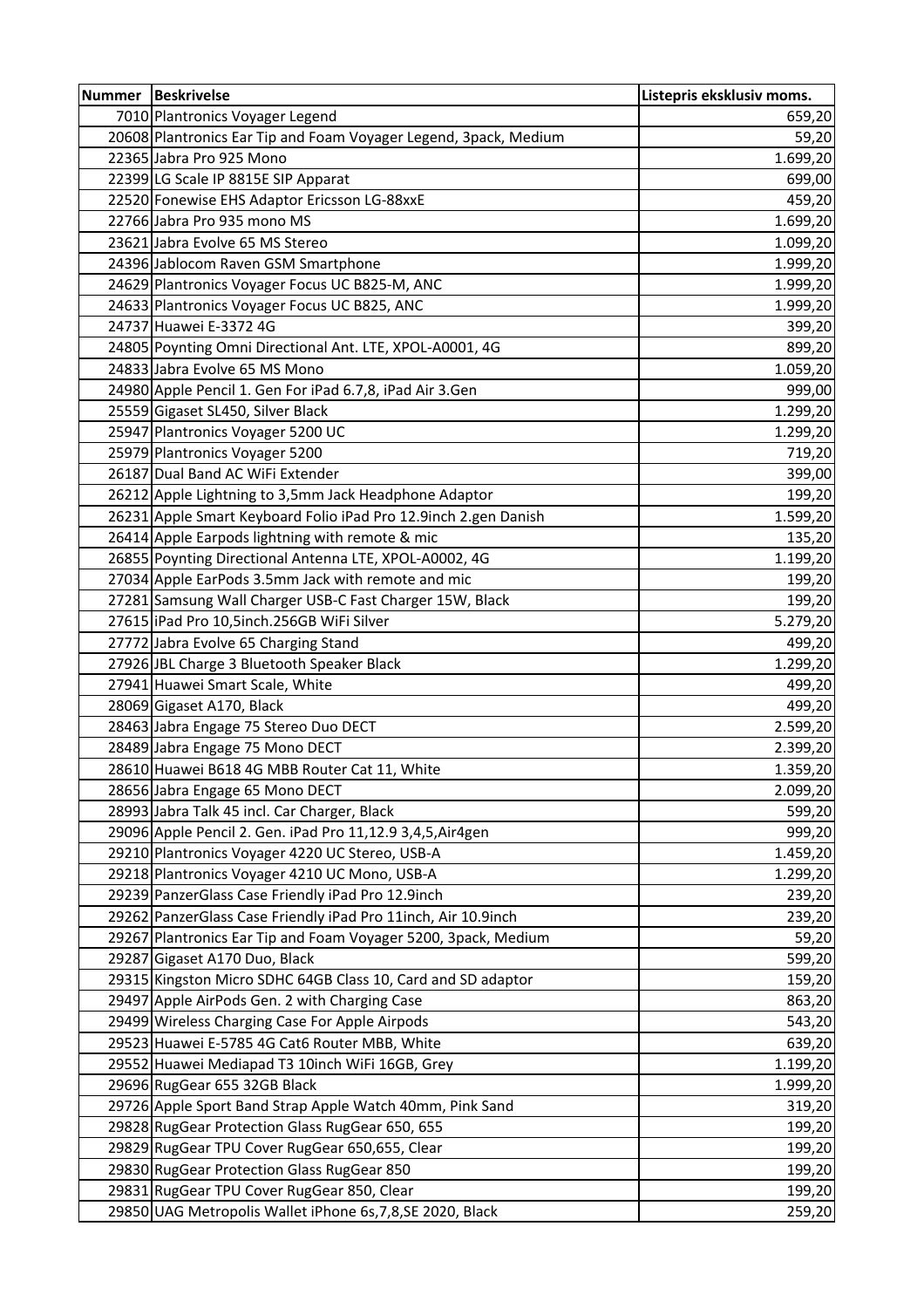| Nummer Beskrivelse                                               | Listepris eksklusiv moms. |
|------------------------------------------------------------------|---------------------------|
| 7010 Plantronics Voyager Legend                                  | 659,20                    |
| 20608 Plantronics Ear Tip and Foam Voyager Legend, 3pack, Medium | 59,20                     |
| 22365 Jabra Pro 925 Mono                                         | 1.699,20                  |
| 22399 LG Scale IP 8815E SIP Apparat                              | 699,00                    |
| 22520 Fonewise EHS Adaptor Ericsson LG-88xxE                     | 459,20                    |
| 22766 Jabra Pro 935 mono MS                                      | 1.699,20                  |
| 23621 Jabra Evolve 65 MS Stereo                                  | 1.099,20                  |
| 24396 Jablocom Raven GSM Smartphone                              | 1.999,20                  |
| 24629 Plantronics Voyager Focus UC B825-M, ANC                   | 1.999,20                  |
| 24633 Plantronics Voyager Focus UC B825, ANC                     | 1.999,20                  |
| 24737 Huawei E-3372 4G                                           | 399,20                    |
| 24805 Poynting Omni Directional Ant. LTE, XPOL-A0001, 4G         | 899,20                    |
| 24833 Jabra Evolve 65 MS Mono                                    | 1.059,20                  |
| 24980 Apple Pencil 1. Gen For iPad 6.7,8, iPad Air 3.Gen         | 999,00                    |
| 25559 Gigaset SL450, Silver Black                                | 1.299,20                  |
| 25947 Plantronics Voyager 5200 UC                                | 1.299,20                  |
| 25979 Plantronics Voyager 5200                                   | 719,20                    |
| 26187 Dual Band AC WiFi Extender                                 | 399,00                    |
| 26212 Apple Lightning to 3,5mm Jack Headphone Adaptor            | 199,20                    |
| 26231 Apple Smart Keyboard Folio iPad Pro 12.9 inch 2.gen Danish | 1.599,20                  |
| 26414 Apple Earpods lightning with remote & mic                  | 135,20                    |
| 26855 Poynting Directional Antenna LTE, XPOL-A0002, 4G           | 1.199,20                  |
| 27034 Apple EarPods 3.5mm Jack with remote and mic               | 199,20                    |
| 27281 Samsung Wall Charger USB-C Fast Charger 15W, Black         | 199,20                    |
| 27615 iPad Pro 10,5inch.256GB WiFi Silver                        | 5.279,20                  |
| 27772 Jabra Evolve 65 Charging Stand                             | 499,20                    |
| 27926 JBL Charge 3 Bluetooth Speaker Black                       | 1.299,20                  |
| 27941 Huawei Smart Scale, White                                  | 499,20                    |
| 28069 Gigaset A170, Black                                        | 499,20                    |
| 28463 Jabra Engage 75 Stereo Duo DECT                            | 2.599,20                  |
| 28489 Jabra Engage 75 Mono DECT                                  | 2.399,20                  |
| 28610 Huawei B618 4G MBB Router Cat 11, White                    | 1.359,20                  |
| 28656 Jabra Engage 65 Mono DECT                                  | 2.099,20                  |
| 28993 Jabra Talk 45 incl. Car Charger, Black                     | 599,20                    |
| 29096 Apple Pencil 2. Gen. iPad Pro 11,12.9 3,4,5, Air4gen       | 999,20                    |
| 29210 Plantronics Voyager 4220 UC Stereo, USB-A                  | 1.459,20                  |
| 29218 Plantronics Voyager 4210 UC Mono, USB-A                    | 1.299,20                  |
| 29239 PanzerGlass Case Friendly iPad Pro 12.9inch                | 239,20                    |
| 29262 PanzerGlass Case Friendly iPad Pro 11inch, Air 10.9inch    | 239,20                    |
| 29267 Plantronics Ear Tip and Foam Voyager 5200, 3pack, Medium   | 59,20                     |
| 29287 Gigaset A170 Duo, Black                                    | 599,20                    |
| 29315 Kingston Micro SDHC 64GB Class 10, Card and SD adaptor     | 159,20                    |
| 29497 Apple AirPods Gen. 2 with Charging Case                    | 863,20                    |
| 29499 Wireless Charging Case For Apple Airpods                   | 543,20                    |
| 29523 Huawei E-5785 4G Cat6 Router MBB, White                    | 639,20                    |
| 29552 Huawei Mediapad T3 10inch WiFi 16GB, Grey                  | 1.199,20                  |
| 29696 RugGear 655 32GB Black                                     | 1.999,20                  |
| 29726 Apple Sport Band Strap Apple Watch 40mm, Pink Sand         | 319,20                    |
| 29828 RugGear Protection Glass RugGear 650, 655                  | 199,20                    |
| 29829 RugGear TPU Cover RugGear 650,655, Clear                   | 199,20                    |
| 29830 RugGear Protection Glass RugGear 850                       | 199,20                    |
| 29831 RugGear TPU Cover RugGear 850, Clear                       | 199,20                    |
| 29850 UAG Metropolis Wallet iPhone 6s, 7, 8, SE 2020, Black      | 259,20                    |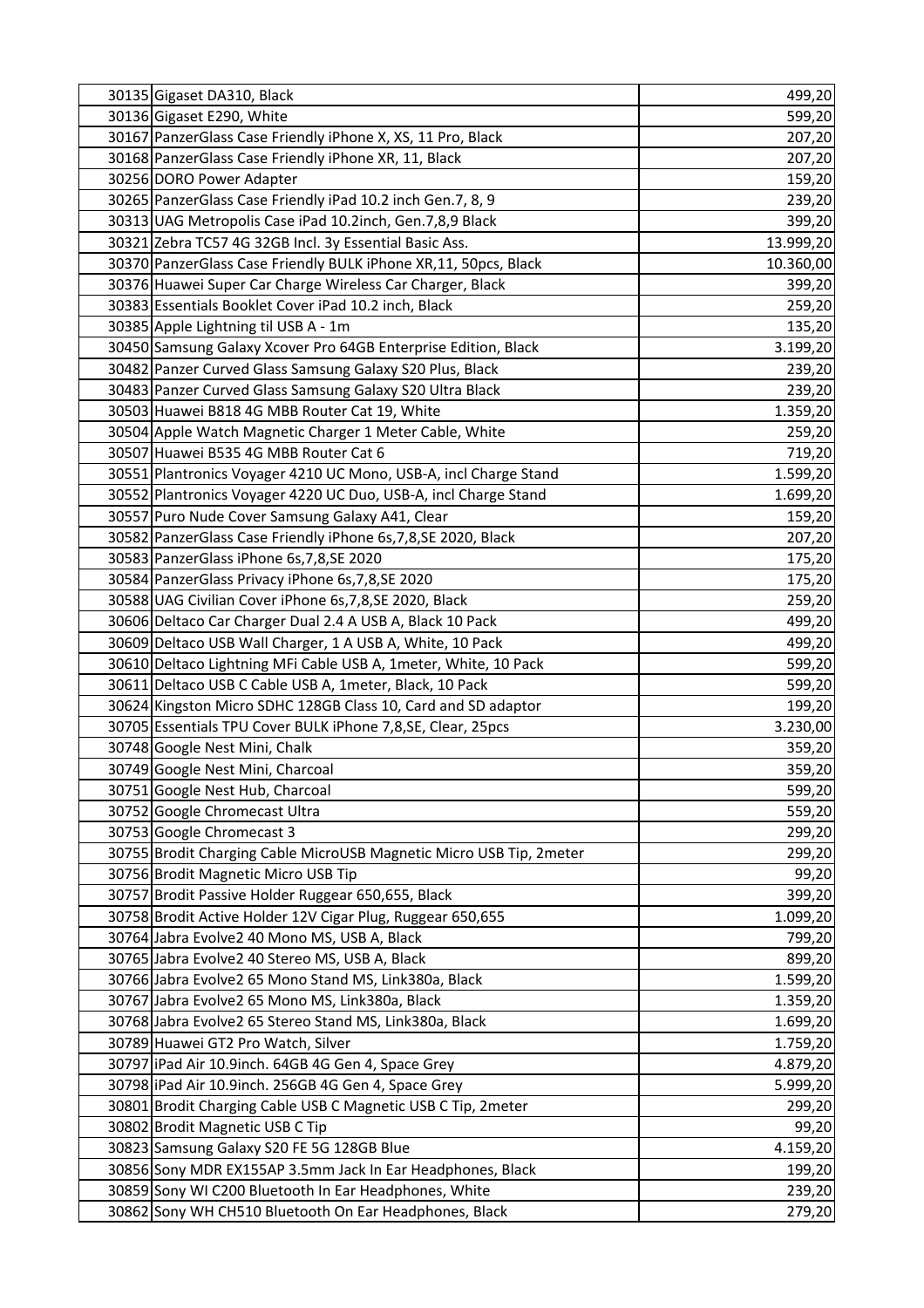| 30135 Gigaset DA310, Black                                                                              | 499,20               |
|---------------------------------------------------------------------------------------------------------|----------------------|
| 30136 Gigaset E290, White                                                                               | 599,20               |
| 30167 PanzerGlass Case Friendly iPhone X, XS, 11 Pro, Black                                             | 207,20               |
| 30168 PanzerGlass Case Friendly iPhone XR, 11, Black                                                    | 207,20               |
| 30256 DORO Power Adapter                                                                                | 159,20               |
| 30265 PanzerGlass Case Friendly iPad 10.2 inch Gen.7, 8, 9                                              | 239,20               |
| 30313 UAG Metropolis Case iPad 10.2inch, Gen.7,8,9 Black                                                | 399,20               |
| 30321 Zebra TC57 4G 32GB Incl. 3y Essential Basic Ass.                                                  | 13.999,20            |
| 30370 PanzerGlass Case Friendly BULK iPhone XR, 11, 50pcs, Black                                        | 10.360,00            |
| 30376 Huawei Super Car Charge Wireless Car Charger, Black                                               | 399,20               |
| 30383 Essentials Booklet Cover iPad 10.2 inch, Black                                                    | 259,20               |
| 30385 Apple Lightning til USB A - 1m                                                                    | 135,20               |
| 30450 Samsung Galaxy Xcover Pro 64GB Enterprise Edition, Black                                          | 3.199,20             |
| 30482 Panzer Curved Glass Samsung Galaxy S20 Plus, Black                                                | 239,20               |
| 30483 Panzer Curved Glass Samsung Galaxy S20 Ultra Black                                                | 239,20               |
| 30503 Huawei B818 4G MBB Router Cat 19, White                                                           | 1.359,20             |
| 30504 Apple Watch Magnetic Charger 1 Meter Cable, White                                                 | 259,20               |
| 30507 Huawei B535 4G MBB Router Cat 6                                                                   | 719,20               |
| 30551 Plantronics Voyager 4210 UC Mono, USB-A, incl Charge Stand                                        | 1.599,20             |
| 30552 Plantronics Voyager 4220 UC Duo, USB-A, incl Charge Stand                                         | 1.699,20             |
| 30557 Puro Nude Cover Samsung Galaxy A41, Clear                                                         | 159,20               |
| 30582 PanzerGlass Case Friendly iPhone 6s, 7, 8, SE 2020, Black                                         | 207,20               |
| 30583 PanzerGlass iPhone 6s, 7, 8, SE 2020                                                              | 175,20               |
| 30584 PanzerGlass Privacy iPhone 6s, 7, 8, SE 2020                                                      | 175,20               |
| 30588 UAG Civilian Cover iPhone 6s, 7, 8, SE 2020, Black                                                | 259,20               |
| 30606 Deltaco Car Charger Dual 2.4 A USB A, Black 10 Pack                                               | 499,20               |
| 30609 Deltaco USB Wall Charger, 1 A USB A, White, 10 Pack                                               | 499,20               |
| 30610 Deltaco Lightning MFi Cable USB A, 1meter, White, 10 Pack                                         | 599,20               |
| 30611 Deltaco USB C Cable USB A, 1 meter, Black, 10 Pack                                                | 599,20               |
| 30624 Kingston Micro SDHC 128GB Class 10, Card and SD adaptor                                           | 199,20               |
| 30705 Essentials TPU Cover BULK iPhone 7,8, SE, Clear, 25pcs                                            | 3.230,00             |
| 30748 Google Nest Mini, Chalk                                                                           | 359,20               |
| 30749 Google Nest Mini, Charcoal                                                                        | 359,20               |
| 30751 Google Nest Hub, Charcoal                                                                         | 599,20               |
| 30752 Google Chromecast Ultra                                                                           | 559,20               |
| 30753 Google Chromecast 3                                                                               | 299,20               |
| 30755 Brodit Charging Cable MicroUSB Magnetic Micro USB Tip, 2meter                                     | 299,20               |
| 30756 Brodit Magnetic Micro USB Tip                                                                     | 99,20                |
| 30757 Brodit Passive Holder Ruggear 650,655, Black                                                      | 399,20               |
| 30758 Brodit Active Holder 12V Cigar Plug, Ruggear 650,655                                              | 1.099,20             |
| 30764 Jabra Evolve2 40 Mono MS, USB A, Black                                                            | 799,20               |
| 30765 Jabra Evolve2 40 Stereo MS, USB A, Black<br>30766 Jabra Evolve2 65 Mono Stand MS, Link380a, Black | 899,20<br>1.599,20   |
| 30767 Jabra Evolve2 65 Mono MS, Link380a, Black                                                         |                      |
| 30768 Jabra Evolve2 65 Stereo Stand MS, Link380a, Black                                                 | 1.359,20             |
|                                                                                                         | 1.699,20             |
| 30789 Huawei GT2 Pro Watch, Silver<br>30797 iPad Air 10.9inch. 64GB 4G Gen 4, Space Grey                | 1.759,20<br>4.879,20 |
| 30798 iPad Air 10.9 inch. 256GB 4G Gen 4, Space Grey                                                    | 5.999,20             |
| 30801 Brodit Charging Cable USB C Magnetic USB C Tip, 2meter                                            | 299,20               |
| 30802 Brodit Magnetic USB C Tip                                                                         | 99,20                |
| 30823 Samsung Galaxy S20 FE 5G 128GB Blue                                                               | 4.159,20             |
| 30856 Sony MDR EX155AP 3.5mm Jack In Ear Headphones, Black                                              | 199,20               |
| 30859 Sony WI C200 Bluetooth In Ear Headphones, White                                                   | 239,20               |
| 30862 Sony WH CH510 Bluetooth On Ear Headphones, Black                                                  | 279,20               |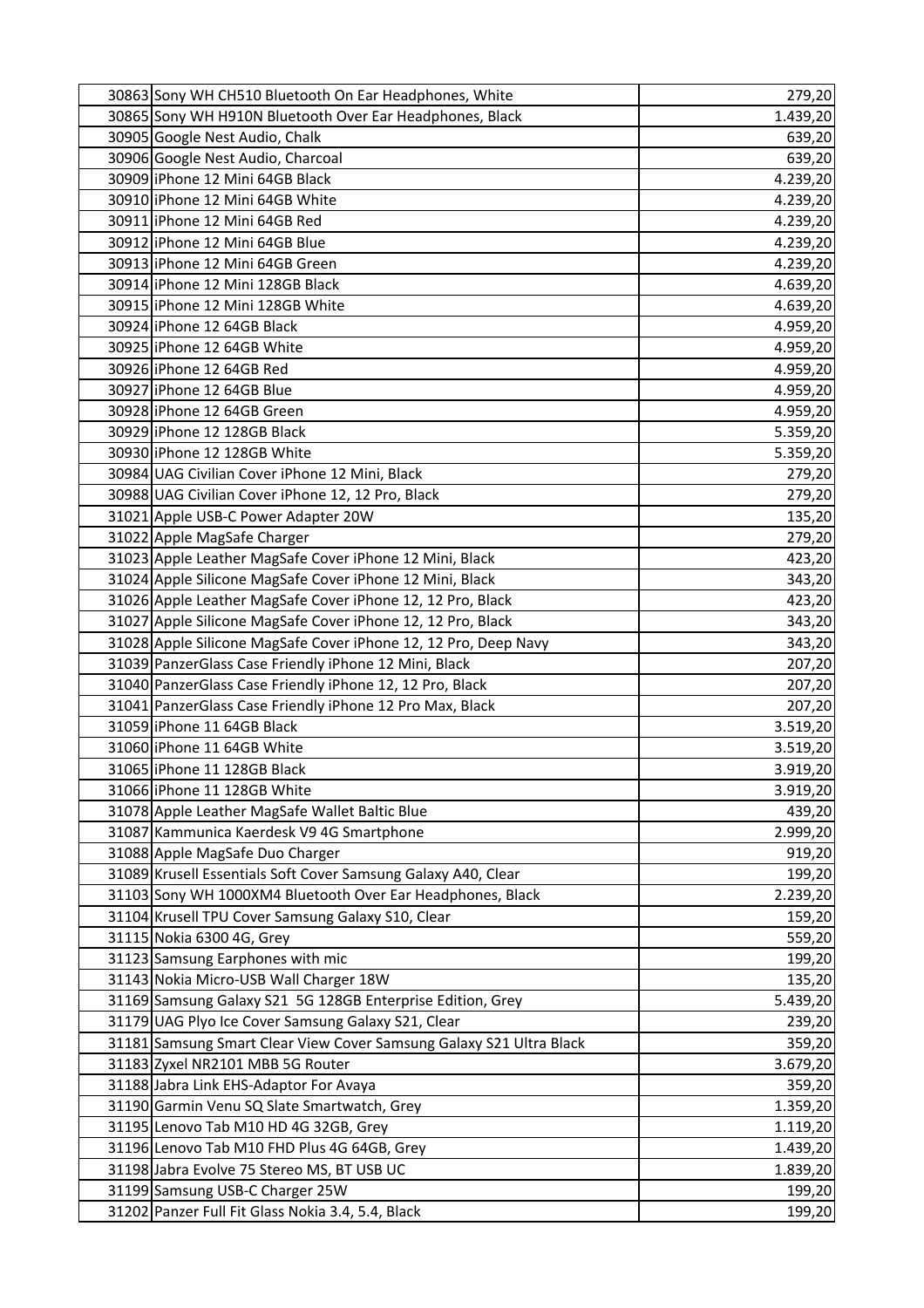| 30863 Sony WH CH510 Bluetooth On Ear Headphones, White              | 279,20   |
|---------------------------------------------------------------------|----------|
| 30865 Sony WH H910N Bluetooth Over Ear Headphones, Black            | 1.439,20 |
| 30905 Google Nest Audio, Chalk                                      | 639,20   |
| 30906 Google Nest Audio, Charcoal                                   | 639,20   |
| 30909 iPhone 12 Mini 64GB Black                                     | 4.239,20 |
| 30910 iPhone 12 Mini 64GB White                                     | 4.239,20 |
| 30911 iPhone 12 Mini 64GB Red                                       | 4.239,20 |
| 30912 iPhone 12 Mini 64GB Blue                                      | 4.239,20 |
| 30913 iPhone 12 Mini 64GB Green                                     | 4.239,20 |
| 30914 iPhone 12 Mini 128GB Black                                    | 4.639,20 |
| 30915 iPhone 12 Mini 128GB White                                    | 4.639,20 |
| 30924 iPhone 12 64GB Black                                          | 4.959,20 |
| 30925 iPhone 12 64GB White                                          | 4.959,20 |
| 30926 iPhone 12 64GB Red                                            | 4.959,20 |
| 30927 iPhone 12 64GB Blue                                           | 4.959,20 |
| 30928 iPhone 12 64GB Green                                          | 4.959,20 |
| 30929 iPhone 12 128GB Black                                         | 5.359,20 |
| 30930 iPhone 12 128GB White                                         | 5.359,20 |
| 30984 UAG Civilian Cover iPhone 12 Mini, Black                      | 279,20   |
| 30988 UAG Civilian Cover iPhone 12, 12 Pro, Black                   | 279,20   |
| 31021 Apple USB-C Power Adapter 20W                                 | 135,20   |
| 31022 Apple MagSafe Charger                                         | 279,20   |
| 31023 Apple Leather MagSafe Cover iPhone 12 Mini, Black             | 423,20   |
| 31024 Apple Silicone MagSafe Cover iPhone 12 Mini, Black            | 343,20   |
| 31026 Apple Leather MagSafe Cover iPhone 12, 12 Pro, Black          | 423,20   |
| 31027 Apple Silicone MagSafe Cover iPhone 12, 12 Pro, Black         | 343,20   |
| 31028 Apple Silicone MagSafe Cover iPhone 12, 12 Pro, Deep Navy     | 343,20   |
| 31039 PanzerGlass Case Friendly iPhone 12 Mini, Black               | 207,20   |
| 31040 PanzerGlass Case Friendly iPhone 12, 12 Pro, Black            | 207,20   |
| 31041 PanzerGlass Case Friendly iPhone 12 Pro Max, Black            | 207,20   |
| 31059 iPhone 11 64GB Black                                          | 3.519,20 |
| 31060 iPhone 11 64GB White                                          | 3.519,20 |
| 31065 iPhone 11 128GB Black                                         | 3.919,20 |
| 31066 iPhone 11 128GB White                                         | 3.919,20 |
| 31078 Apple Leather MagSafe Wallet Baltic Blue                      | 439,20   |
| 31087 Kammunica Kaerdesk V9 4G Smartphone                           | 2.999,20 |
| 31088 Apple MagSafe Duo Charger                                     | 919,20   |
| 31089 Krusell Essentials Soft Cover Samsung Galaxy A40, Clear       | 199,20   |
| 31103 Sony WH 1000XM4 Bluetooth Over Ear Headphones, Black          | 2.239,20 |
| 31104 Krusell TPU Cover Samsung Galaxy S10, Clear                   | 159,20   |
| 31115 Nokia 6300 4G, Grey                                           | 559,20   |
| 31123 Samsung Earphones with mic                                    | 199,20   |
| 31143 Nokia Micro-USB Wall Charger 18W                              | 135,20   |
| 31169 Samsung Galaxy S21 5G 128GB Enterprise Edition, Grey          | 5.439,20 |
| 31179 UAG Plyo Ice Cover Samsung Galaxy S21, Clear                  | 239,20   |
| 31181 Samsung Smart Clear View Cover Samsung Galaxy S21 Ultra Black | 359,20   |
| 31183 Zyxel NR2101 MBB 5G Router                                    | 3.679,20 |
| 31188 Jabra Link EHS-Adaptor For Avaya                              | 359,20   |
| 31190 Garmin Venu SQ Slate Smartwatch, Grey                         | 1.359,20 |
| 31195 Lenovo Tab M10 HD 4G 32GB, Grey                               | 1.119,20 |
| 31196 Lenovo Tab M10 FHD Plus 4G 64GB, Grey                         | 1.439,20 |
| 31198 Jabra Evolve 75 Stereo MS, BT USB UC                          | 1.839,20 |
| 31199 Samsung USB-C Charger 25W                                     | 199,20   |
| 31202 Panzer Full Fit Glass Nokia 3.4, 5.4, Black                   | 199,20   |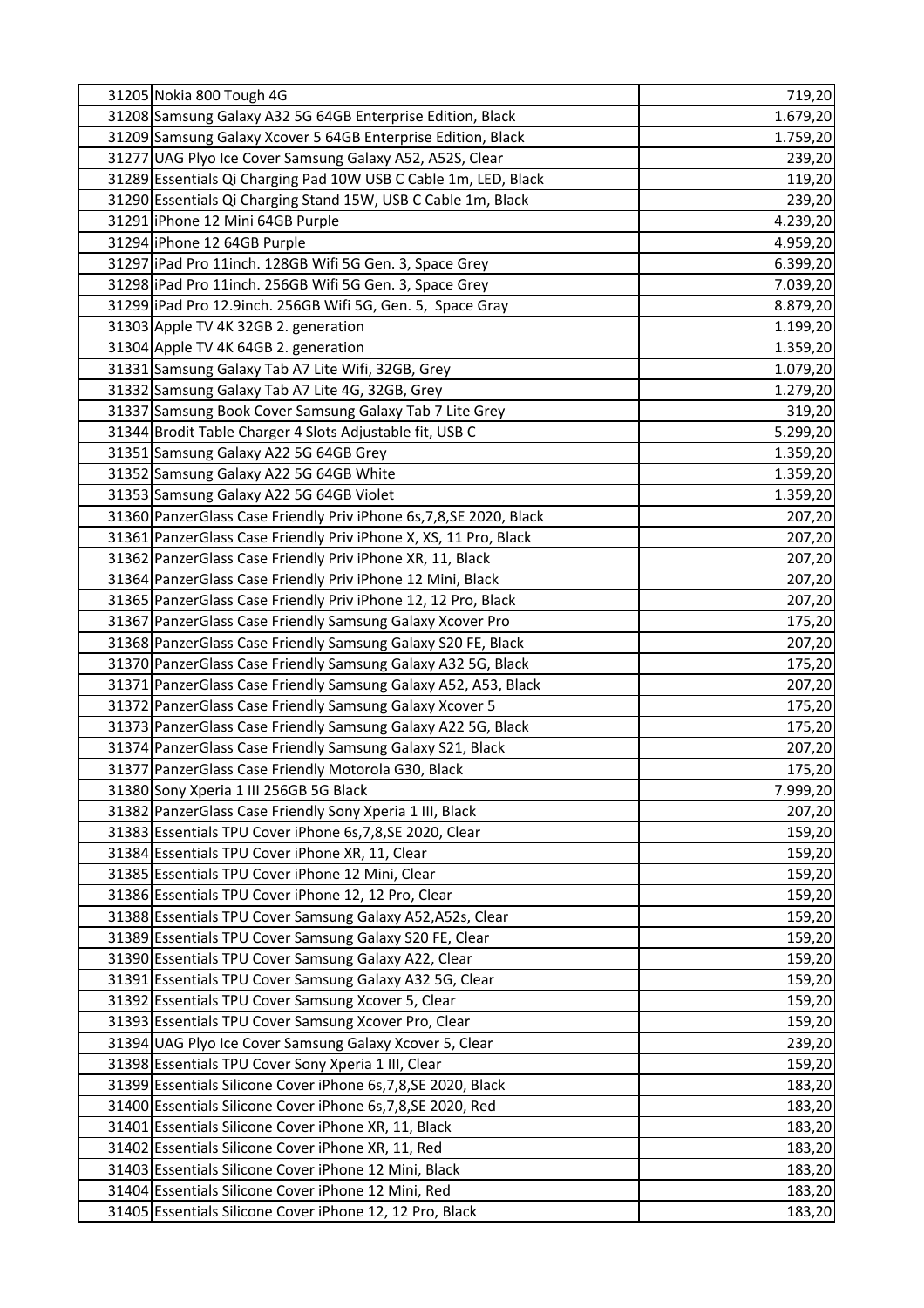| 31205 Nokia 800 Tough 4G                                                                                   | 719,20           |
|------------------------------------------------------------------------------------------------------------|------------------|
| 31208 Samsung Galaxy A32 5G 64GB Enterprise Edition, Black                                                 | 1.679,20         |
| 31209 Samsung Galaxy Xcover 5 64GB Enterprise Edition, Black                                               | 1.759,20         |
| 31277 UAG Plyo Ice Cover Samsung Galaxy A52, A52S, Clear                                                   | 239,20           |
| 31289 Essentials Qi Charging Pad 10W USB C Cable 1m, LED, Black                                            | 119,20           |
| 31290 Essentials Qi Charging Stand 15W, USB C Cable 1m, Black                                              | 239,20           |
| 31291 iPhone 12 Mini 64GB Purple                                                                           | 4.239,20         |
| 31294 iPhone 12 64GB Purple                                                                                | 4.959,20         |
| 31297 iPad Pro 11inch. 128GB Wifi 5G Gen. 3, Space Grey                                                    | 6.399,20         |
| 31298 iPad Pro 11inch. 256GB Wifi 5G Gen. 3, Space Grey                                                    | 7.039,20         |
| 31299 iPad Pro 12.9 inch. 256GB Wifi 5G, Gen. 5, Space Gray                                                | 8.879,20         |
| 31303 Apple TV 4K 32GB 2. generation                                                                       | 1.199,20         |
| 31304 Apple TV 4K 64GB 2. generation                                                                       | 1.359,20         |
| 31331 Samsung Galaxy Tab A7 Lite Wifi, 32GB, Grey                                                          | 1.079,20         |
| 31332 Samsung Galaxy Tab A7 Lite 4G, 32GB, Grey                                                            | 1.279,20         |
| 31337 Samsung Book Cover Samsung Galaxy Tab 7 Lite Grey                                                    | 319,20           |
| 31344 Brodit Table Charger 4 Slots Adjustable fit, USB C                                                   | 5.299,20         |
| 31351 Samsung Galaxy A22 5G 64GB Grey                                                                      | 1.359,20         |
| 31352 Samsung Galaxy A22 5G 64GB White                                                                     | 1.359,20         |
| 31353 Samsung Galaxy A22 5G 64GB Violet                                                                    | 1.359,20         |
| 31360 PanzerGlass Case Friendly Priv iPhone 6s, 7, 8, SE 2020, Black                                       | 207,20           |
| 31361 PanzerGlass Case Friendly Priv iPhone X, XS, 11 Pro, Black                                           | 207,20           |
| 31362 PanzerGlass Case Friendly Priv iPhone XR, 11, Black                                                  | 207,20           |
| 31364 PanzerGlass Case Friendly Priv iPhone 12 Mini, Black                                                 | 207,20           |
| 31365 PanzerGlass Case Friendly Priv iPhone 12, 12 Pro, Black                                              | 207,20           |
| 31367 PanzerGlass Case Friendly Samsung Galaxy Xcover Pro                                                  | 175,20           |
| 31368 PanzerGlass Case Friendly Samsung Galaxy S20 FE, Black                                               | 207,20           |
| 31370 PanzerGlass Case Friendly Samsung Galaxy A32 5G, Black                                               | 175,20           |
| 31371 PanzerGlass Case Friendly Samsung Galaxy A52, A53, Black                                             | 207,20           |
| 31372 PanzerGlass Case Friendly Samsung Galaxy Xcover 5                                                    | 175,20           |
| 31373 PanzerGlass Case Friendly Samsung Galaxy A22 5G, Black                                               | 175,20           |
| 31374 PanzerGlass Case Friendly Samsung Galaxy S21, Black                                                  | 207,20           |
| 31377 PanzerGlass Case Friendly Motorola G30, Black                                                        | 175,20           |
| 31380 Sony Xperia 1 III 256GB 5G Black                                                                     | 7.999,20         |
| 31382 PanzerGlass Case Friendly Sony Xperia 1 III, Black                                                   | 207,20           |
| 31383 Essentials TPU Cover iPhone 6s, 7, 8, SE 2020, Clear                                                 | 159,20           |
| 31384 Essentials TPU Cover iPhone XR, 11, Clear                                                            | 159,20           |
| 31385 Essentials TPU Cover iPhone 12 Mini, Clear                                                           | 159,20           |
| 31386 Essentials TPU Cover iPhone 12, 12 Pro, Clear                                                        | 159,20           |
| 31388 Essentials TPU Cover Samsung Galaxy A52, A52s, Clear                                                 | 159,20           |
| 31389 Essentials TPU Cover Samsung Galaxy S20 FE, Clear                                                    | 159,20           |
| 31390 Essentials TPU Cover Samsung Galaxy A22, Clear                                                       | 159,20           |
| 31391 Essentials TPU Cover Samsung Galaxy A32 5G, Clear                                                    | 159,20           |
| 31392 Essentials TPU Cover Samsung Xcover 5, Clear<br>31393 Essentials TPU Cover Samsung Xcover Pro, Clear | 159,20           |
| 31394 UAG Plyo Ice Cover Samsung Galaxy Xcover 5, Clear                                                    | 159,20           |
| 31398 Essentials TPU Cover Sony Xperia 1 III, Clear                                                        | 239,20<br>159,20 |
| 31399 Essentials Silicone Cover iPhone 6s, 7, 8, SE 2020, Black                                            | 183,20           |
| 31400 Essentials Silicone Cover iPhone 6s, 7, 8, SE 2020, Red                                              | 183,20           |
| 31401 Essentials Silicone Cover iPhone XR, 11, Black                                                       | 183,20           |
| 31402 Essentials Silicone Cover iPhone XR, 11, Red                                                         | 183,20           |
| 31403 Essentials Silicone Cover iPhone 12 Mini, Black                                                      | 183,20           |
| 31404 Essentials Silicone Cover iPhone 12 Mini, Red                                                        | 183,20           |
| 31405 Essentials Silicone Cover iPhone 12, 12 Pro, Black                                                   | 183,20           |
|                                                                                                            |                  |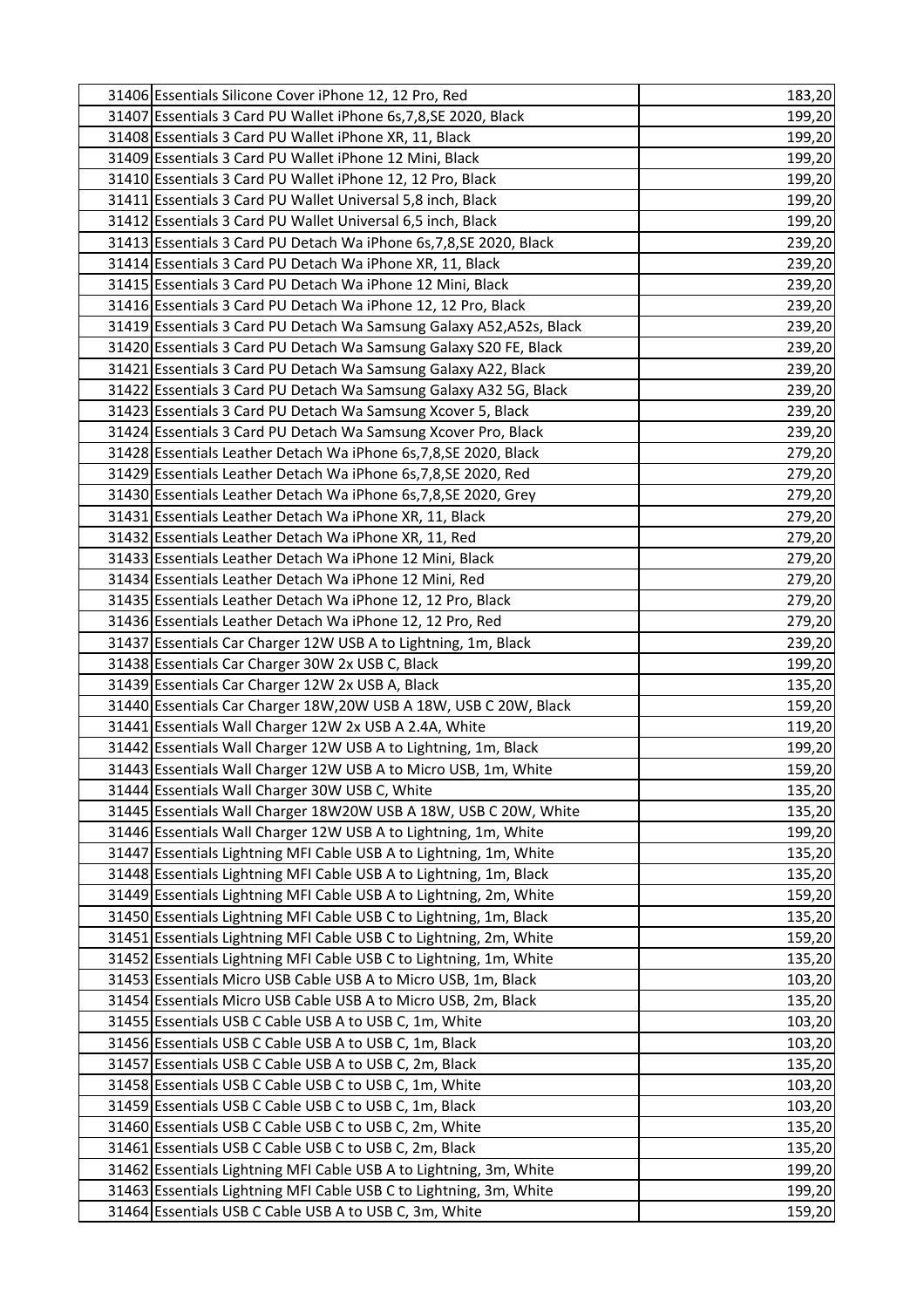| 31406 Essentials Silicone Cover iPhone 12, 12 Pro, Red               | 183,20 |
|----------------------------------------------------------------------|--------|
| 31407 Essentials 3 Card PU Wallet iPhone 6s, 7, 8, SE 2020, Black    | 199,20 |
| 31408 Essentials 3 Card PU Wallet iPhone XR, 11, Black               | 199,20 |
| 31409 Essentials 3 Card PU Wallet iPhone 12 Mini, Black              | 199,20 |
| 31410 Essentials 3 Card PU Wallet iPhone 12, 12 Pro, Black           | 199,20 |
| 31411 Essentials 3 Card PU Wallet Universal 5,8 inch, Black          | 199,20 |
| 31412 Essentials 3 Card PU Wallet Universal 6,5 inch, Black          | 199,20 |
| 31413 Essentials 3 Card PU Detach Wa iPhone 6s, 7, 8, SE 2020, Black | 239,20 |
| 31414 Essentials 3 Card PU Detach Wa iPhone XR, 11, Black            | 239,20 |
| 31415 Essentials 3 Card PU Detach Wa iPhone 12 Mini, Black           | 239,20 |
| 31416 Essentials 3 Card PU Detach Wa iPhone 12, 12 Pro, Black        | 239,20 |
| 31419 Essentials 3 Card PU Detach Wa Samsung Galaxy A52, A52s, Black | 239,20 |
| 31420 Essentials 3 Card PU Detach Wa Samsung Galaxy S20 FE, Black    | 239,20 |
| 31421 Essentials 3 Card PU Detach Wa Samsung Galaxy A22, Black       | 239,20 |
| 31422 Essentials 3 Card PU Detach Wa Samsung Galaxy A32 5G, Black    | 239,20 |
| 31423 Essentials 3 Card PU Detach Wa Samsung Xcover 5, Black         | 239,20 |
| 31424 Essentials 3 Card PU Detach Wa Samsung Xcover Pro, Black       | 239,20 |
| 31428 Essentials Leather Detach Wa iPhone 6s, 7, 8, SE 2020, Black   | 279,20 |
| 31429 Essentials Leather Detach Wa iPhone 6s, 7, 8, SE 2020, Red     | 279,20 |
| 31430 Essentials Leather Detach Wa iPhone 6s, 7, 8, SE 2020, Grey    | 279,20 |
| 31431 Essentials Leather Detach Wa iPhone XR, 11, Black              | 279,20 |
| 31432 Essentials Leather Detach Wa iPhone XR, 11, Red                | 279,20 |
| 31433 Essentials Leather Detach Wa iPhone 12 Mini, Black             | 279,20 |
| 31434 Essentials Leather Detach Wa iPhone 12 Mini, Red               | 279,20 |
| 31435 Essentials Leather Detach Wa iPhone 12, 12 Pro, Black          | 279,20 |
| 31436 Essentials Leather Detach Wa iPhone 12, 12 Pro, Red            | 279,20 |
| 31437 Essentials Car Charger 12W USB A to Lightning, 1m, Black       | 239,20 |
| 31438 Essentials Car Charger 30W 2x USB C, Black                     | 199,20 |
| 31439 Essentials Car Charger 12W 2x USB A, Black                     | 135,20 |
| 31440 Essentials Car Charger 18W, 20W USB A 18W, USB C 20W, Black    | 159,20 |
| 31441 Essentials Wall Charger 12W 2x USB A 2.4A, White               | 119,20 |
| 31442 Essentials Wall Charger 12W USB A to Lightning, 1m, Black      | 199,20 |
| 31443 Essentials Wall Charger 12W USB A to Micro USB, 1m, White      | 159,20 |
| 31444 Essentials Wall Charger 30W USB C, White                       | 135,20 |
| 31445 Essentials Wall Charger 18W20W USB A 18W, USB C 20W, White     | 135,20 |
| 31446 Essentials Wall Charger 12W USB A to Lightning, 1m, White      | 199,20 |
| 31447 Essentials Lightning MFI Cable USB A to Lightning, 1m, White   | 135,20 |
| 31448 Essentials Lightning MFI Cable USB A to Lightning, 1m, Black   | 135,20 |
| 31449 Essentials Lightning MFI Cable USB A to Lightning, 2m, White   | 159,20 |
| 31450 Essentials Lightning MFI Cable USB C to Lightning, 1m, Black   | 135,20 |
| 31451 Essentials Lightning MFI Cable USB C to Lightning, 2m, White   | 159,20 |
| 31452 Essentials Lightning MFI Cable USB C to Lightning, 1m, White   | 135,20 |
| 31453 Essentials Micro USB Cable USB A to Micro USB, 1m, Black       | 103,20 |
| 31454 Essentials Micro USB Cable USB A to Micro USB, 2m, Black       | 135,20 |
| 31455 Essentials USB C Cable USB A to USB C, 1m, White               | 103,20 |
| 31456 Essentials USB C Cable USB A to USB C, 1m, Black               | 103,20 |
| 31457 Essentials USB C Cable USB A to USB C, 2m, Black               | 135,20 |
| 31458 Essentials USB C Cable USB C to USB C, 1m, White               | 103,20 |
| 31459 Essentials USB C Cable USB C to USB C, 1m, Black               | 103,20 |
| 31460 Essentials USB C Cable USB C to USB C, 2m, White               | 135,20 |
| 31461 Essentials USB C Cable USB C to USB C, 2m, Black               | 135,20 |
| 31462 Essentials Lightning MFI Cable USB A to Lightning, 3m, White   | 199,20 |
| 31463 Essentials Lightning MFI Cable USB C to Lightning, 3m, White   | 199,20 |
| 31464 Essentials USB C Cable USB A to USB C, 3m, White               | 159,20 |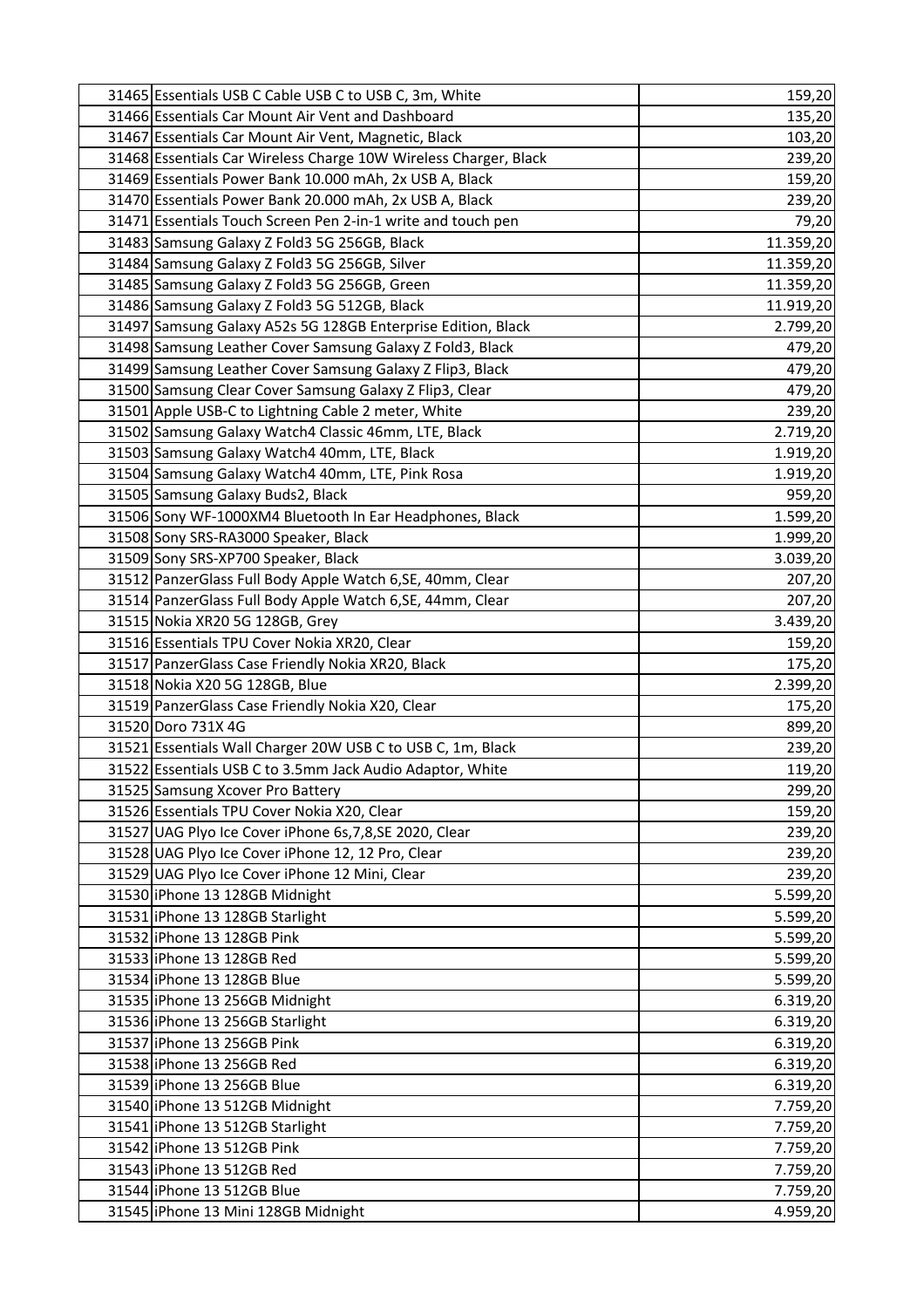| 31465 Essentials USB C Cable USB C to USB C, 3m, White           | 159,20               |
|------------------------------------------------------------------|----------------------|
| 31466 Essentials Car Mount Air Vent and Dashboard                | 135,20               |
| 31467 Essentials Car Mount Air Vent, Magnetic, Black             | 103,20               |
| 31468 Essentials Car Wireless Charge 10W Wireless Charger, Black | 239,20               |
| 31469 Essentials Power Bank 10.000 mAh, 2x USB A, Black          | 159,20               |
| 31470 Essentials Power Bank 20.000 mAh, 2x USB A, Black          | 239,20               |
| 31471 Essentials Touch Screen Pen 2-in-1 write and touch pen     | 79,20                |
| 31483 Samsung Galaxy Z Fold3 5G 256GB, Black                     | 11.359,20            |
| 31484 Samsung Galaxy Z Fold3 5G 256GB, Silver                    | 11.359,20            |
| 31485 Samsung Galaxy Z Fold3 5G 256GB, Green                     | 11.359,20            |
| 31486 Samsung Galaxy Z Fold3 5G 512GB, Black                     | 11.919,20            |
| 31497 Samsung Galaxy A52s 5G 128GB Enterprise Edition, Black     | 2.799,20             |
| 31498 Samsung Leather Cover Samsung Galaxy Z Fold3, Black        | 479,20               |
| 31499 Samsung Leather Cover Samsung Galaxy Z Flip3, Black        | 479,20               |
| 31500 Samsung Clear Cover Samsung Galaxy Z Flip3, Clear          | 479,20               |
| 31501 Apple USB-C to Lightning Cable 2 meter, White              | 239,20               |
| 31502 Samsung Galaxy Watch4 Classic 46mm, LTE, Black             | 2.719,20             |
| 31503 Samsung Galaxy Watch4 40mm, LTE, Black                     | 1.919,20             |
| 31504 Samsung Galaxy Watch4 40mm, LTE, Pink Rosa                 | 1.919,20             |
| 31505 Samsung Galaxy Buds2, Black                                | 959,20               |
| 31506 Sony WF-1000XM4 Bluetooth In Ear Headphones, Black         | 1.599,20             |
| 31508 Sony SRS-RA3000 Speaker, Black                             | 1.999,20             |
| 31509 Sony SRS-XP700 Speaker, Black                              | 3.039,20             |
| 31512 PanzerGlass Full Body Apple Watch 6, SE, 40mm, Clear       | 207,20               |
| 31514 PanzerGlass Full Body Apple Watch 6, SE, 44mm, Clear       | 207,20               |
| 31515 Nokia XR20 5G 128GB, Grey                                  | 3.439,20             |
| 31516 Essentials TPU Cover Nokia XR20, Clear                     | 159,20               |
| 31517 PanzerGlass Case Friendly Nokia XR20, Black                | 175,20               |
| 31518 Nokia X20 5G 128GB, Blue                                   | 2.399,20             |
| 31519 PanzerGlass Case Friendly Nokia X20, Clear                 | 175,20               |
| 31520 Doro 731X 4G                                               | 899,20               |
| 31521 Essentials Wall Charger 20W USB C to USB C, 1m, Black      | 239,20               |
| 31522 Essentials USB C to 3.5mm Jack Audio Adaptor, White        | 119,20               |
| 31525 Samsung Xcover Pro Battery                                 | 299,20               |
| 31526 Essentials TPU Cover Nokia X20, Clear                      | 159,20               |
| 31527 UAG Plyo Ice Cover iPhone 6s, 7, 8, SE 2020, Clear         | 239,20               |
| 31528 UAG Plyo Ice Cover iPhone 12, 12 Pro, Clear                | 239,20               |
| 31529 UAG Plyo Ice Cover iPhone 12 Mini, Clear                   | 239,20               |
| 31530 iPhone 13 128GB Midnight                                   | 5.599,20             |
| 31531 iPhone 13 128GB Starlight                                  | 5.599,20             |
| 31532 iPhone 13 128GB Pink                                       | 5.599,20             |
| 31533 iPhone 13 128GB Red                                        | 5.599,20             |
| 31534 iPhone 13 128GB Blue                                       | 5.599,20             |
| 31535 iPhone 13 256GB Midnight                                   | 6.319,20             |
| 31536 iPhone 13 256GB Starlight                                  | 6.319,20             |
| 31537 iPhone 13 256GB Pink                                       | 6.319,20             |
| 31538 iPhone 13 256GB Red                                        | 6.319,20             |
| 31539 iPhone 13 256GB Blue<br>31540 iPhone 13 512GB Midnight     | 6.319,20             |
|                                                                  | 7.759,20             |
| 31541   iPhone 13 512GB Starlight<br>31542 iPhone 13 512GB Pink  | 7.759,20             |
| 31543 iPhone 13 512GB Red                                        | 7.759,20<br>7.759,20 |
| 31544 iPhone 13 512GB Blue                                       | 7.759,20             |
| 31545 iPhone 13 Mini 128GB Midnight                              | 4.959,20             |
|                                                                  |                      |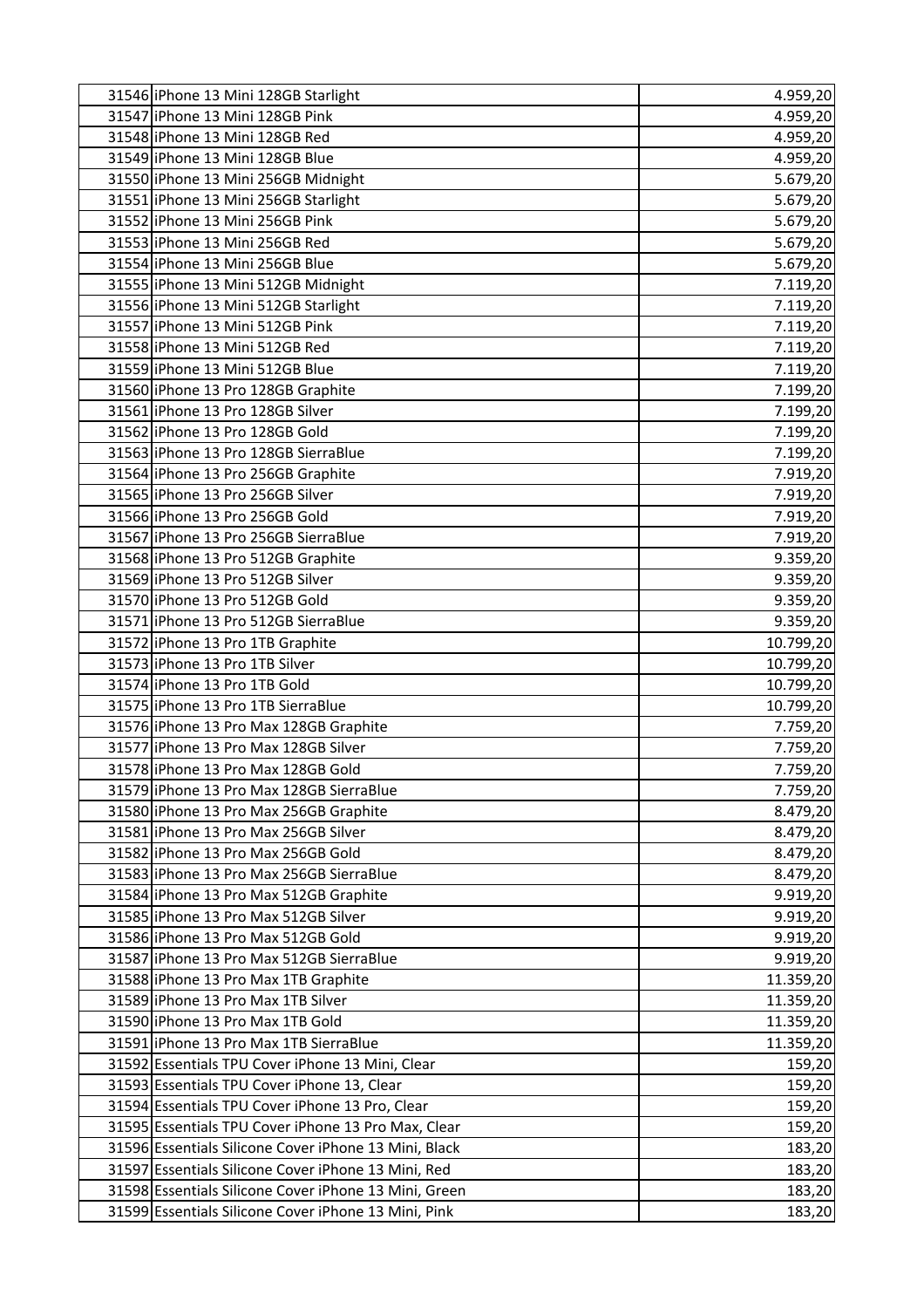| 31546 iPhone 13 Mini 128GB Starlight                                   | 4.959,20               |
|------------------------------------------------------------------------|------------------------|
| 31547 iPhone 13 Mini 128GB Pink                                        | 4.959,20               |
| 31548 iPhone 13 Mini 128GB Red                                         | 4.959,20               |
| 31549 iPhone 13 Mini 128GB Blue                                        | 4.959,20               |
| 31550 iPhone 13 Mini 256GB Midnight                                    | 5.679,20               |
| 31551 iPhone 13 Mini 256GB Starlight                                   | 5.679,20               |
| 31552 iPhone 13 Mini 256GB Pink                                        | 5.679,20               |
| 31553 iPhone 13 Mini 256GB Red                                         | 5.679,20               |
| 31554 iPhone 13 Mini 256GB Blue                                        | 5.679,20               |
| 31555 iPhone 13 Mini 512GB Midnight                                    | 7.119,20               |
| 31556 iPhone 13 Mini 512GB Starlight                                   | 7.119,20               |
| 31557 iPhone 13 Mini 512GB Pink                                        | 7.119,20               |
| 31558 iPhone 13 Mini 512GB Red                                         | 7.119,20               |
| 31559 iPhone 13 Mini 512GB Blue                                        | 7.119,20               |
| 31560 iPhone 13 Pro 128GB Graphite                                     | 7.199,20               |
| 31561 iPhone 13 Pro 128GB Silver                                       | 7.199,20               |
| 31562 iPhone 13 Pro 128GB Gold                                         | 7.199,20               |
| 31563 iPhone 13 Pro 128GB SierraBlue                                   | 7.199,20               |
| 31564 iPhone 13 Pro 256GB Graphite                                     | 7.919,20               |
| 31565 iPhone 13 Pro 256GB Silver                                       | 7.919,20               |
| 31566 iPhone 13 Pro 256GB Gold                                         | 7.919,20               |
| 31567 iPhone 13 Pro 256GB SierraBlue                                   | 7.919,20               |
| 31568 iPhone 13 Pro 512GB Graphite                                     | 9.359,20               |
| 31569 iPhone 13 Pro 512GB Silver                                       | 9.359,20               |
| 31570 iPhone 13 Pro 512GB Gold                                         | 9.359,20               |
| 31571 iPhone 13 Pro 512GB SierraBlue                                   | 9.359,20               |
| 31572 iPhone 13 Pro 1TB Graphite                                       | 10.799,20              |
| 31573 iPhone 13 Pro 1TB Silver                                         | 10.799,20              |
| 31574 iPhone 13 Pro 1TB Gold                                           | 10.799,20              |
| 31575 iPhone 13 Pro 1TB SierraBlue                                     | 10.799,20              |
| 31576 iPhone 13 Pro Max 128GB Graphite                                 | 7.759,20               |
| 31577 iPhone 13 Pro Max 128GB Silver                                   | 7.759,20               |
| 31578 iPhone 13 Pro Max 128GB Gold                                     | 7.759,20               |
| 31579 iPhone 13 Pro Max 128GB SierraBlue                               | 7.759,20               |
| 31580 iPhone 13 Pro Max 256GB Graphite                                 | 8.479,20               |
| 31581 iPhone 13 Pro Max 256GB Silver                                   | 8.479,20               |
| 31582 iPhone 13 Pro Max 256GB Gold                                     | 8.479,20               |
| 31583 iPhone 13 Pro Max 256GB SierraBlue                               | 8.479,20               |
| 31584 iPhone 13 Pro Max 512GB Graphite                                 | 9.919,20               |
| 31585 iPhone 13 Pro Max 512GB Silver                                   | 9.919,20               |
| 31586 iPhone 13 Pro Max 512GB Gold                                     | 9.919,20               |
| 31587 iPhone 13 Pro Max 512GB SierraBlue                               | 9.919,20               |
| 31588 iPhone 13 Pro Max 1TB Graphite                                   | 11.359,20              |
| 31589 iPhone 13 Pro Max 1TB Silver<br>31590 iPhone 13 Pro Max 1TB Gold | 11.359,20              |
| 31591   iPhone 13 Pro Max 1TB SierraBlue                               | 11.359,20<br>11.359,20 |
| 31592 Essentials TPU Cover iPhone 13 Mini, Clear                       | 159,20                 |
| 31593 Essentials TPU Cover iPhone 13, Clear                            | 159,20                 |
| 31594 Essentials TPU Cover iPhone 13 Pro, Clear                        | 159,20                 |
| 31595 Essentials TPU Cover iPhone 13 Pro Max, Clear                    | 159,20                 |
| 31596 Essentials Silicone Cover iPhone 13 Mini, Black                  | 183,20                 |
| 31597 Essentials Silicone Cover iPhone 13 Mini, Red                    | 183,20                 |
| 31598 Essentials Silicone Cover iPhone 13 Mini, Green                  | 183,20                 |
| 31599 Essentials Silicone Cover iPhone 13 Mini, Pink                   | 183,20                 |
|                                                                        |                        |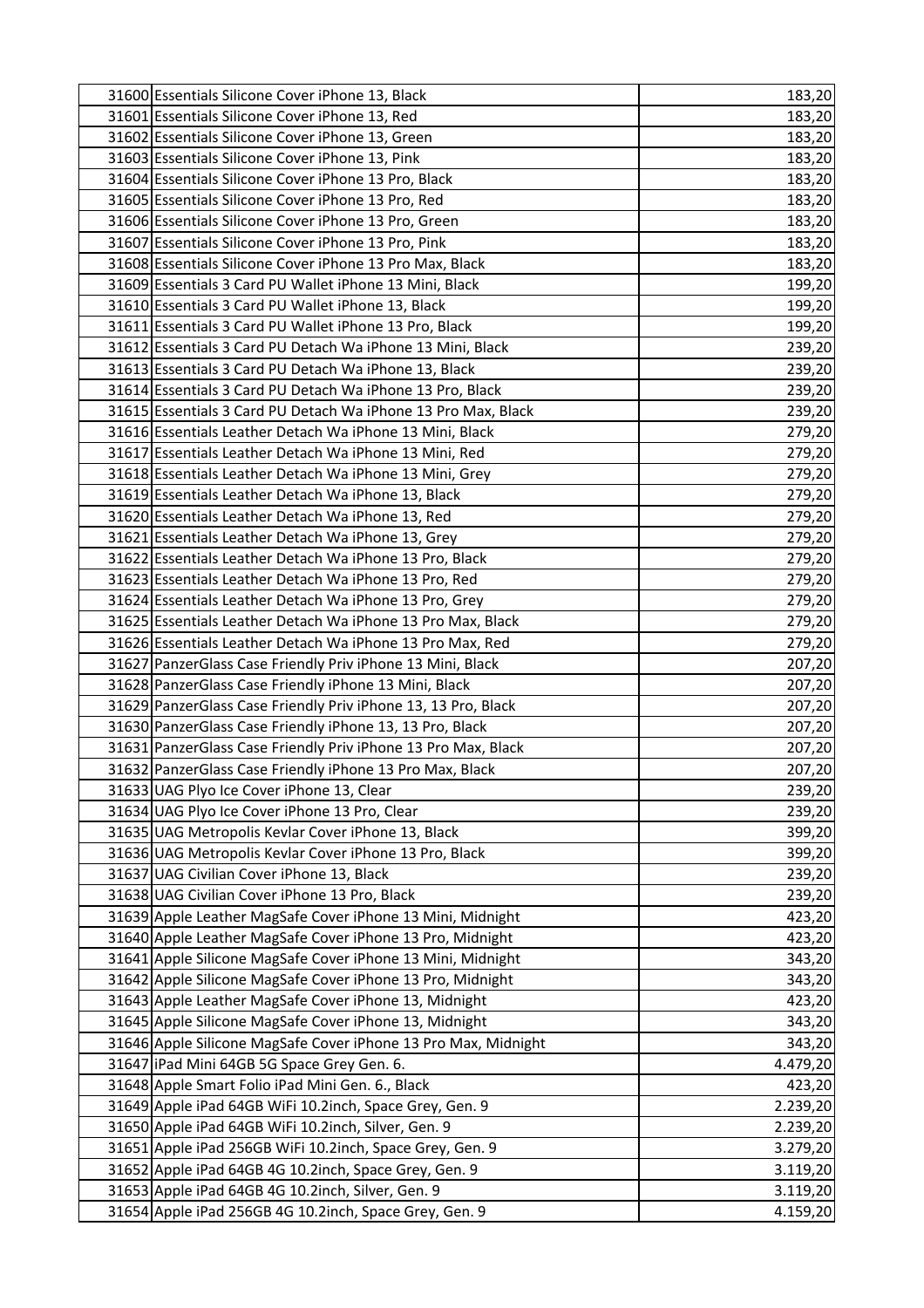| 31600 Essentials Silicone Cover iPhone 13, Black               | 183,20   |
|----------------------------------------------------------------|----------|
| 31601 Essentials Silicone Cover iPhone 13, Red                 | 183,20   |
| 31602 Essentials Silicone Cover iPhone 13, Green               | 183,20   |
| 31603 Essentials Silicone Cover iPhone 13, Pink                | 183,20   |
| 31604 Essentials Silicone Cover iPhone 13 Pro, Black           | 183,20   |
| 31605 Essentials Silicone Cover iPhone 13 Pro, Red             | 183,20   |
| 31606 Essentials Silicone Cover iPhone 13 Pro, Green           | 183,20   |
| 31607 Essentials Silicone Cover iPhone 13 Pro, Pink            | 183,20   |
| 31608 Essentials Silicone Cover iPhone 13 Pro Max, Black       | 183,20   |
| 31609 Essentials 3 Card PU Wallet iPhone 13 Mini, Black        | 199,20   |
| 31610 Essentials 3 Card PU Wallet iPhone 13, Black             | 199,20   |
| 31611 Essentials 3 Card PU Wallet iPhone 13 Pro, Black         | 199,20   |
| 31612 Essentials 3 Card PU Detach Wa iPhone 13 Mini, Black     | 239,20   |
| 31613 Essentials 3 Card PU Detach Wa iPhone 13, Black          | 239,20   |
| 31614 Essentials 3 Card PU Detach Wa iPhone 13 Pro, Black      | 239,20   |
| 31615 Essentials 3 Card PU Detach Wa iPhone 13 Pro Max, Black  | 239,20   |
| 31616 Essentials Leather Detach Wa iPhone 13 Mini, Black       | 279,20   |
| 31617 Essentials Leather Detach Wa iPhone 13 Mini, Red         | 279,20   |
| 31618 Essentials Leather Detach Wa iPhone 13 Mini, Grey        | 279,20   |
| 31619 Essentials Leather Detach Wa iPhone 13, Black            | 279,20   |
| 31620 Essentials Leather Detach Wa iPhone 13, Red              | 279,20   |
| 31621 Essentials Leather Detach Wa iPhone 13, Grey             | 279,20   |
| 31622 Essentials Leather Detach Wa iPhone 13 Pro, Black        | 279,20   |
| 31623 Essentials Leather Detach Wa iPhone 13 Pro, Red          | 279,20   |
| 31624 Essentials Leather Detach Wa iPhone 13 Pro, Grey         | 279,20   |
| 31625 Essentials Leather Detach Wa iPhone 13 Pro Max, Black    | 279,20   |
| 31626 Essentials Leather Detach Wa iPhone 13 Pro Max, Red      | 279,20   |
| 31627 PanzerGlass Case Friendly Priv iPhone 13 Mini, Black     | 207,20   |
| 31628 PanzerGlass Case Friendly iPhone 13 Mini, Black          | 207,20   |
| 31629 PanzerGlass Case Friendly Priv iPhone 13, 13 Pro, Black  | 207,20   |
| 31630 PanzerGlass Case Friendly iPhone 13, 13 Pro, Black       | 207,20   |
| 31631 PanzerGlass Case Friendly Priv iPhone 13 Pro Max, Black  | 207,20   |
| 31632 PanzerGlass Case Friendly iPhone 13 Pro Max, Black       | 207,20   |
| 31633 UAG Plyo Ice Cover iPhone 13, Clear                      | 239,20   |
| 31634 UAG Plyo Ice Cover iPhone 13 Pro, Clear                  | 239,20   |
| 31635 UAG Metropolis Kevlar Cover iPhone 13, Black             | 399,20   |
| 31636 UAG Metropolis Kevlar Cover iPhone 13 Pro, Black         | 399,20   |
| 31637 UAG Civilian Cover iPhone 13, Black                      | 239,20   |
| 31638 UAG Civilian Cover iPhone 13 Pro, Black                  | 239,20   |
| 31639 Apple Leather MagSafe Cover iPhone 13 Mini, Midnight     | 423,20   |
| 31640 Apple Leather MagSafe Cover iPhone 13 Pro, Midnight      | 423,20   |
| 31641 Apple Silicone MagSafe Cover iPhone 13 Mini, Midnight    | 343,20   |
| 31642 Apple Silicone MagSafe Cover iPhone 13 Pro, Midnight     | 343,20   |
| 31643 Apple Leather MagSafe Cover iPhone 13, Midnight          | 423,20   |
| 31645 Apple Silicone MagSafe Cover iPhone 13, Midnight         | 343,20   |
| 31646 Apple Silicone MagSafe Cover iPhone 13 Pro Max, Midnight | 343,20   |
| 31647 iPad Mini 64GB 5G Space Grey Gen. 6.                     | 4.479,20 |
| 31648 Apple Smart Folio iPad Mini Gen. 6., Black               | 423,20   |
| 31649 Apple iPad 64GB WiFi 10.2inch, Space Grey, Gen. 9        | 2.239,20 |
| 31650 Apple iPad 64GB WiFi 10.2inch, Silver, Gen. 9            | 2.239,20 |
| 31651 Apple iPad 256GB WiFi 10.2inch, Space Grey, Gen. 9       | 3.279,20 |
| 31652 Apple iPad 64GB 4G 10.2inch, Space Grey, Gen. 9          | 3.119,20 |
| 31653 Apple iPad 64GB 4G 10.2inch, Silver, Gen. 9              | 3.119,20 |
| 31654 Apple iPad 256GB 4G 10.2inch, Space Grey, Gen. 9         | 4.159,20 |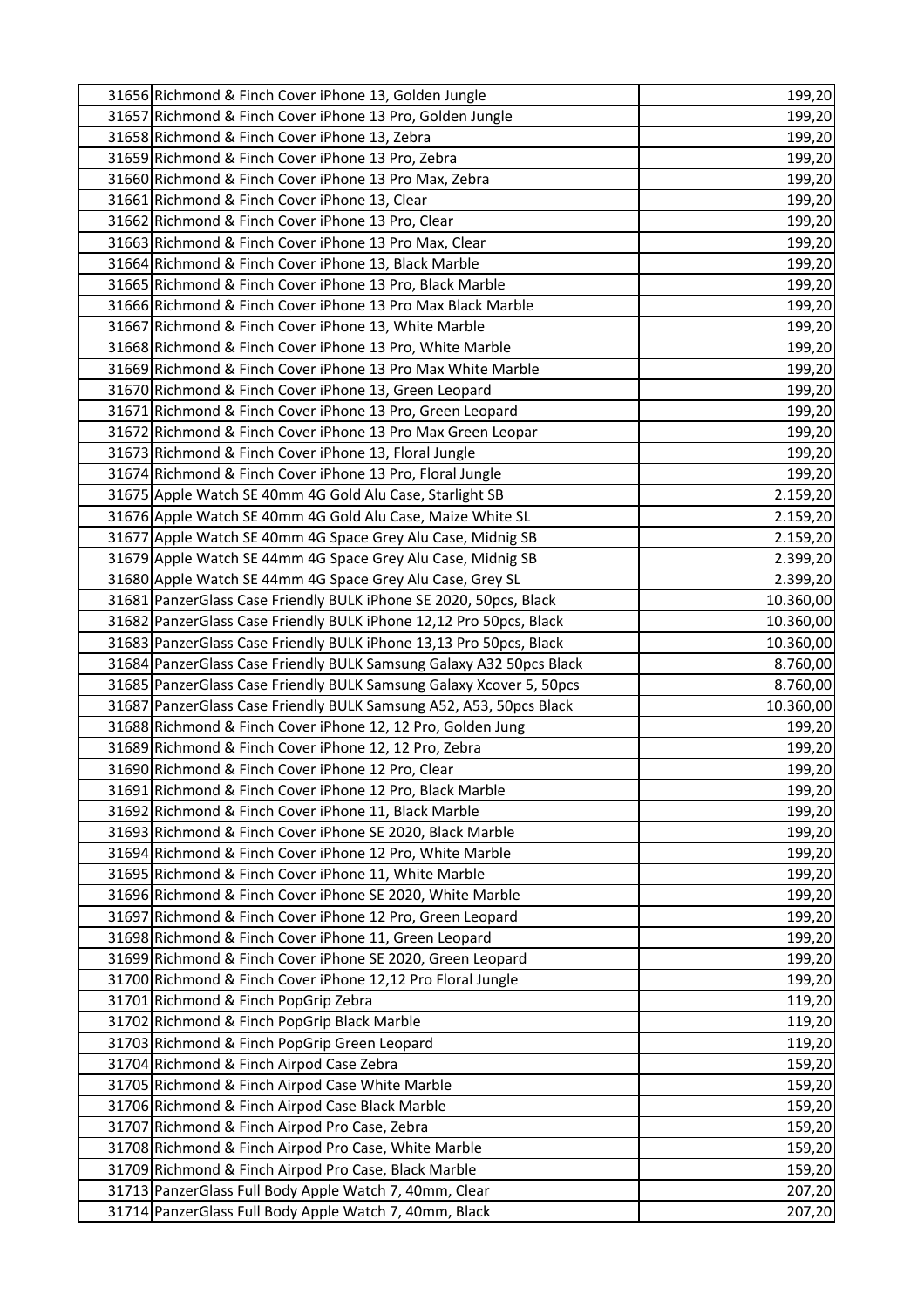| 31656 Richmond & Finch Cover iPhone 13, Golden Jungle               | 199,20           |
|---------------------------------------------------------------------|------------------|
| 31657 Richmond & Finch Cover iPhone 13 Pro, Golden Jungle           | 199,20           |
| 31658 Richmond & Finch Cover iPhone 13, Zebra                       | 199,20           |
| 31659 Richmond & Finch Cover iPhone 13 Pro, Zebra                   | 199,20           |
| 31660 Richmond & Finch Cover iPhone 13 Pro Max, Zebra               | 199,20           |
| 31661 Richmond & Finch Cover iPhone 13, Clear                       | 199,20           |
| 31662 Richmond & Finch Cover iPhone 13 Pro, Clear                   | 199,20           |
| 31663 Richmond & Finch Cover iPhone 13 Pro Max, Clear               | 199,20           |
| 31664 Richmond & Finch Cover iPhone 13, Black Marble                | 199,20           |
| 31665 Richmond & Finch Cover iPhone 13 Pro, Black Marble            | 199,20           |
| 31666 Richmond & Finch Cover iPhone 13 Pro Max Black Marble         | 199,20           |
| 31667 Richmond & Finch Cover iPhone 13, White Marble                | 199,20           |
| 31668 Richmond & Finch Cover iPhone 13 Pro, White Marble            | 199,20           |
| 31669 Richmond & Finch Cover iPhone 13 Pro Max White Marble         | 199,20           |
| 31670 Richmond & Finch Cover iPhone 13, Green Leopard               | 199,20           |
| 31671 Richmond & Finch Cover iPhone 13 Pro, Green Leopard           | 199,20           |
| 31672 Richmond & Finch Cover iPhone 13 Pro Max Green Leopar         | 199,20           |
| 31673 Richmond & Finch Cover iPhone 13, Floral Jungle               | 199,20           |
| 31674 Richmond & Finch Cover iPhone 13 Pro, Floral Jungle           | 199,20           |
| 31675 Apple Watch SE 40mm 4G Gold Alu Case, Starlight SB            | 2.159,20         |
| 31676 Apple Watch SE 40mm 4G Gold Alu Case, Maize White SL          | 2.159,20         |
| 31677 Apple Watch SE 40mm 4G Space Grey Alu Case, Midnig SB         | 2.159,20         |
| 31679 Apple Watch SE 44mm 4G Space Grey Alu Case, Midnig SB         | 2.399,20         |
| 31680 Apple Watch SE 44mm 4G Space Grey Alu Case, Grey SL           | 2.399,20         |
| 31681 PanzerGlass Case Friendly BULK iPhone SE 2020, 50pcs, Black   | 10.360,00        |
| 31682 PanzerGlass Case Friendly BULK iPhone 12,12 Pro 50pcs, Black  | 10.360,00        |
| 31683 PanzerGlass Case Friendly BULK iPhone 13,13 Pro 50pcs, Black  | 10.360,00        |
| 31684 PanzerGlass Case Friendly BULK Samsung Galaxy A32 50pcs Black | 8.760,00         |
| 31685 PanzerGlass Case Friendly BULK Samsung Galaxy Xcover 5, 50pcs | 8.760,00         |
| 31687 PanzerGlass Case Friendly BULK Samsung A52, A53, 50pcs Black  | 10.360,00        |
| 31688 Richmond & Finch Cover iPhone 12, 12 Pro, Golden Jung         | 199,20           |
| 31689 Richmond & Finch Cover iPhone 12, 12 Pro, Zebra               | 199,20           |
| 31690 Richmond & Finch Cover iPhone 12 Pro, Clear                   | 199,20           |
| 31691 Richmond & Finch Cover iPhone 12 Pro, Black Marble            | 199,20           |
| 31692 Richmond & Finch Cover iPhone 11, Black Marble                | 199,20           |
| 31693 Richmond & Finch Cover iPhone SE 2020, Black Marble           | 199,20           |
| 31694 Richmond & Finch Cover iPhone 12 Pro, White Marble            | 199,20           |
| 31695 Richmond & Finch Cover iPhone 11, White Marble                | 199,20           |
| 31696 Richmond & Finch Cover iPhone SE 2020, White Marble           | 199,20           |
| 31697 Richmond & Finch Cover iPhone 12 Pro, Green Leopard           | 199,20           |
| 31698 Richmond & Finch Cover iPhone 11, Green Leopard               | 199,20           |
| 31699 Richmond & Finch Cover iPhone SE 2020, Green Leopard          | 199,20           |
| 31700 Richmond & Finch Cover iPhone 12,12 Pro Floral Jungle         | 199,20           |
| 31701 Richmond & Finch PopGrip Zebra                                | 119,20           |
| 31702 Richmond & Finch PopGrip Black Marble                         | 119,20           |
| 31703 Richmond & Finch PopGrip Green Leopard                        | 119,20           |
| 31704 Richmond & Finch Airpod Case Zebra                            | 159,20           |
| 31705 Richmond & Finch Airpod Case White Marble                     | 159,20           |
| 31706 Richmond & Finch Airpod Case Black Marble                     | 159,20           |
| 31707 Richmond & Finch Airpod Pro Case, Zebra                       | 159,20           |
| 31708 Richmond & Finch Airpod Pro Case, White Marble                | 159,20           |
| 31709 Richmond & Finch Airpod Pro Case, Black Marble                | 159,20           |
| 31713 PanzerGlass Full Body Apple Watch 7, 40mm, Clear              | 207,20<br>207,20 |
| 31714 PanzerGlass Full Body Apple Watch 7, 40mm, Black              |                  |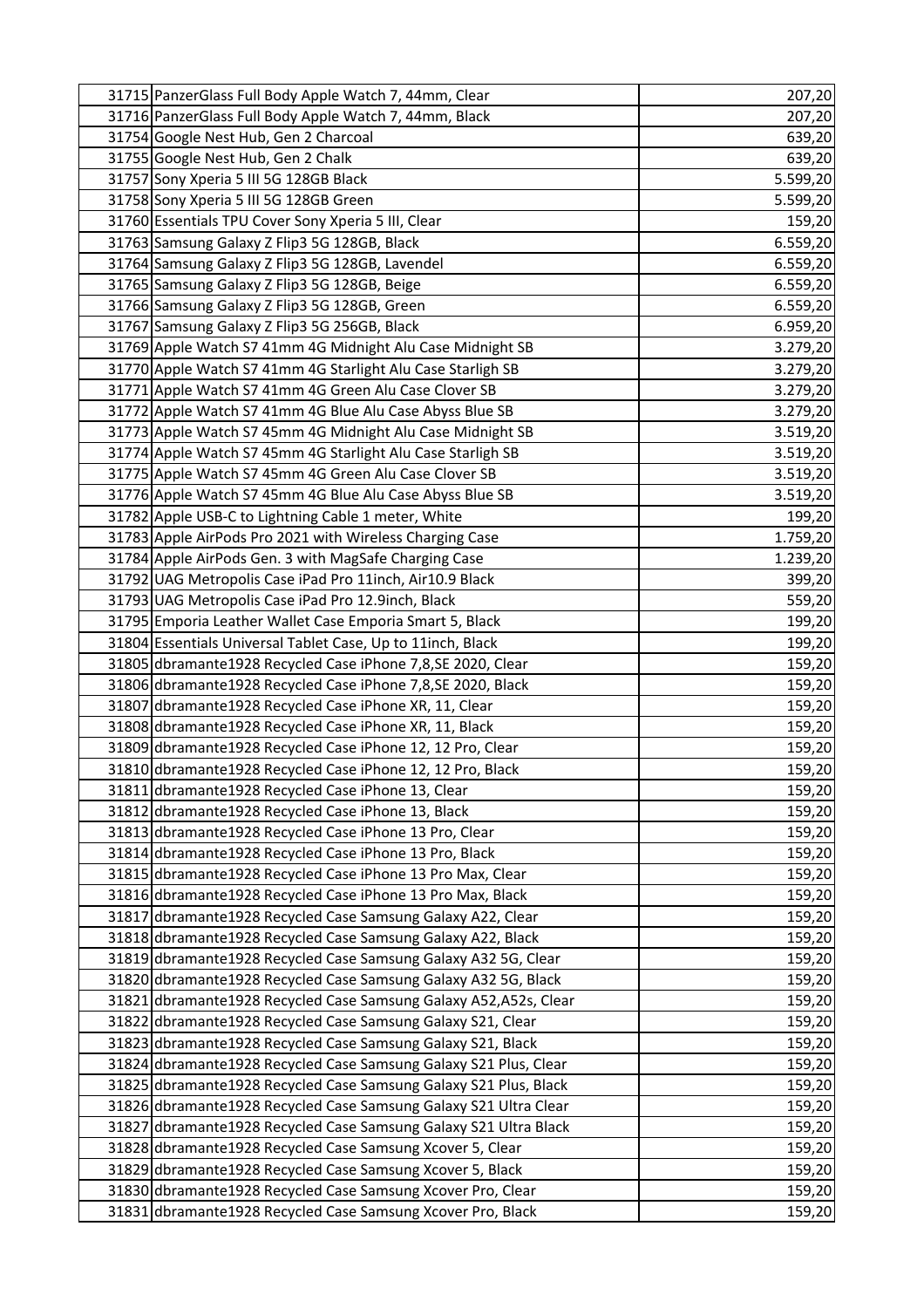| 31715 PanzerGlass Full Body Apple Watch 7, 44mm, Clear            | 207,20   |
|-------------------------------------------------------------------|----------|
| 31716 PanzerGlass Full Body Apple Watch 7, 44mm, Black            | 207,20   |
| 31754 Google Nest Hub, Gen 2 Charcoal                             | 639,20   |
| 31755 Google Nest Hub, Gen 2 Chalk                                | 639,20   |
| 31757 Sony Xperia 5 III 5G 128GB Black                            | 5.599,20 |
| 31758 Sony Xperia 5 III 5G 128GB Green                            | 5.599,20 |
| 31760 Essentials TPU Cover Sony Xperia 5 III, Clear               | 159,20   |
| 31763 Samsung Galaxy Z Flip3 5G 128GB, Black                      | 6.559,20 |
| 31764 Samsung Galaxy Z Flip3 5G 128GB, Lavendel                   | 6.559,20 |
| 31765 Samsung Galaxy Z Flip3 5G 128GB, Beige                      | 6.559,20 |
| 31766 Samsung Galaxy Z Flip3 5G 128GB, Green                      | 6.559,20 |
| 31767 Samsung Galaxy Z Flip3 5G 256GB, Black                      | 6.959,20 |
| 31769 Apple Watch S7 41mm 4G Midnight Alu Case Midnight SB        | 3.279,20 |
| 31770 Apple Watch S7 41mm 4G Starlight Alu Case Starligh SB       | 3.279,20 |
| 31771 Apple Watch S7 41mm 4G Green Alu Case Clover SB             | 3.279,20 |
| 31772 Apple Watch S7 41mm 4G Blue Alu Case Abyss Blue SB          | 3.279,20 |
| 31773 Apple Watch S7 45mm 4G Midnight Alu Case Midnight SB        | 3.519,20 |
| 31774 Apple Watch S7 45mm 4G Starlight Alu Case Starligh SB       | 3.519,20 |
| 31775 Apple Watch S7 45mm 4G Green Alu Case Clover SB             | 3.519,20 |
| 31776 Apple Watch S7 45mm 4G Blue Alu Case Abyss Blue SB          | 3.519,20 |
| 31782 Apple USB-C to Lightning Cable 1 meter, White               | 199,20   |
| 31783 Apple AirPods Pro 2021 with Wireless Charging Case          | 1.759,20 |
| 31784 Apple AirPods Gen. 3 with MagSafe Charging Case             | 1.239,20 |
| 31792 UAG Metropolis Case iPad Pro 11inch, Air10.9 Black          | 399,20   |
| 31793 UAG Metropolis Case iPad Pro 12.9inch, Black                | 559,20   |
| 31795 Emporia Leather Wallet Case Emporia Smart 5, Black          | 199,20   |
| 31804 Essentials Universal Tablet Case, Up to 11inch, Black       | 199,20   |
| 31805 dbramante1928 Recycled Case iPhone 7,8, SE 2020, Clear      | 159,20   |
| 31806 dbramante1928 Recycled Case iPhone 7,8, SE 2020, Black      | 159,20   |
| 31807 dbramante1928 Recycled Case iPhone XR, 11, Clear            | 159,20   |
| 31808 dbramante 1928 Recycled Case iPhone XR, 11, Black           | 159,20   |
| 31809 dbramante1928 Recycled Case iPhone 12, 12 Pro, Clear        | 159,20   |
| 31810 dbramante1928 Recycled Case iPhone 12, 12 Pro, Black        | 159,20   |
| 31811 dbramante1928 Recycled Case iPhone 13, Clear                | 159,20   |
| 31812 dbramante1928 Recycled Case iPhone 13, Black                | 159,20   |
| 31813 dbramante1928 Recycled Case iPhone 13 Pro, Clear            | 159,20   |
| 31814 dbramante1928 Recycled Case iPhone 13 Pro, Black            | 159,20   |
| 31815 dbramante1928 Recycled Case iPhone 13 Pro Max, Clear        | 159,20   |
| 31816 dbramante1928 Recycled Case iPhone 13 Pro Max, Black        | 159,20   |
| 31817 dbramante1928 Recycled Case Samsung Galaxy A22, Clear       | 159,20   |
| 31818 dbramante1928 Recycled Case Samsung Galaxy A22, Black       | 159,20   |
| 31819 dbramante1928 Recycled Case Samsung Galaxy A32 5G, Clear    | 159,20   |
| 31820 dbramante1928 Recycled Case Samsung Galaxy A32 5G, Black    | 159,20   |
| 31821 dbramante1928 Recycled Case Samsung Galaxy A52, A52s, Clear | 159,20   |
| 31822 dbramante1928 Recycled Case Samsung Galaxy S21, Clear       | 159,20   |
| 31823 dbramante1928 Recycled Case Samsung Galaxy S21, Black       | 159,20   |
| 31824 dbramante1928 Recycled Case Samsung Galaxy S21 Plus, Clear  | 159,20   |
| 31825 dbramante 1928 Recycled Case Samsung Galaxy S21 Plus, Black | 159,20   |
| 31826 dbramante 1928 Recycled Case Samsung Galaxy S21 Ultra Clear | 159,20   |
| 31827 dbramante1928 Recycled Case Samsung Galaxy S21 Ultra Black  | 159,20   |
| 31828 dbramante1928 Recycled Case Samsung Xcover 5, Clear         | 159,20   |
| 31829 dbramante1928 Recycled Case Samsung Xcover 5, Black         | 159,20   |
| 31830 dbramante1928 Recycled Case Samsung Xcover Pro, Clear       | 159,20   |
| 31831 dbramante1928 Recycled Case Samsung Xcover Pro, Black       | 159,20   |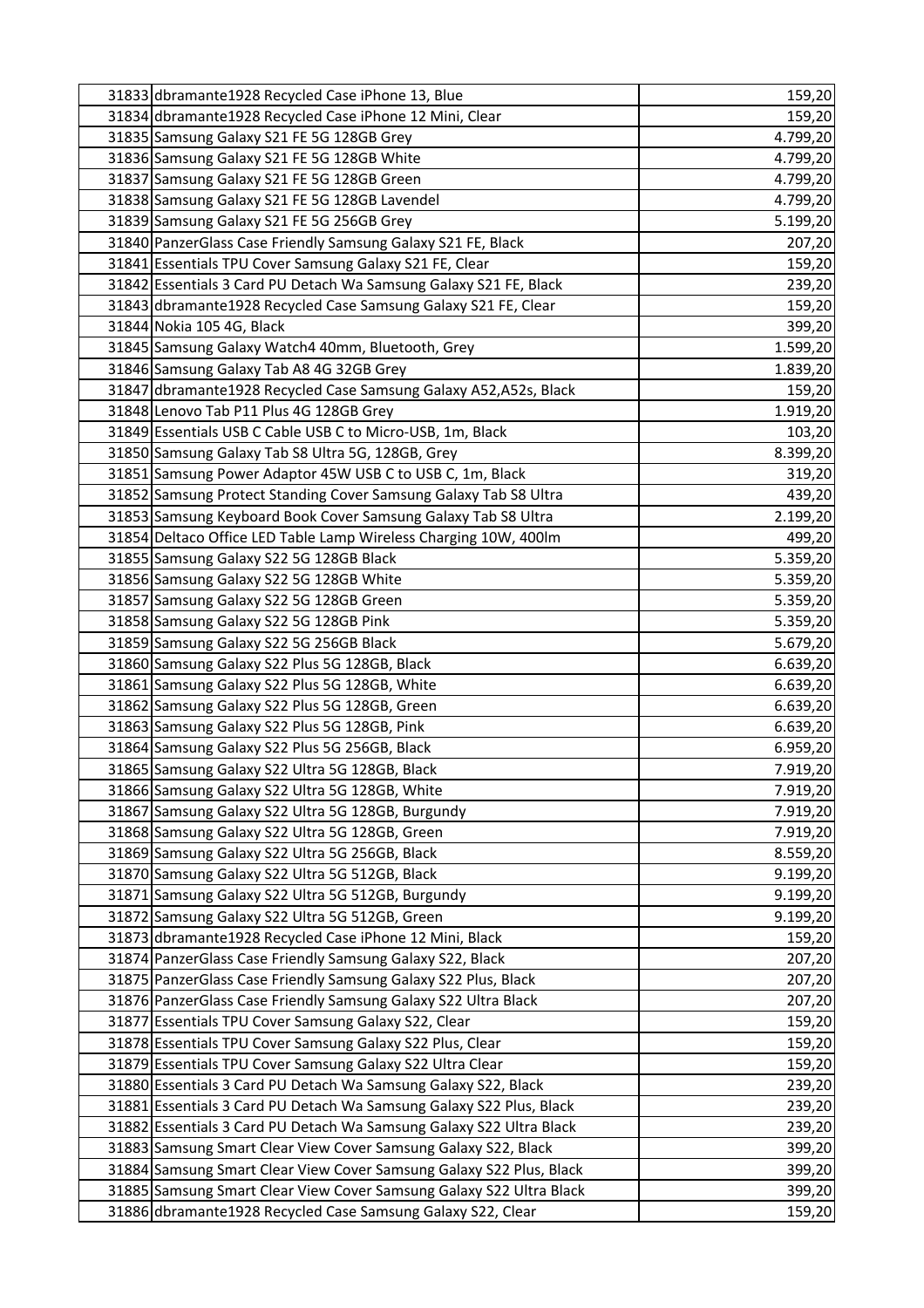| 31833 dbramante1928 Recycled Case iPhone 13, Blue                                                                      | 159,20           |
|------------------------------------------------------------------------------------------------------------------------|------------------|
| 31834 dbramante1928 Recycled Case iPhone 12 Mini, Clear                                                                | 159,20           |
| 31835 Samsung Galaxy S21 FE 5G 128GB Grey                                                                              | 4.799,20         |
| 31836 Samsung Galaxy S21 FE 5G 128GB White                                                                             | 4.799,20         |
| 31837 Samsung Galaxy S21 FE 5G 128GB Green                                                                             | 4.799,20         |
| 31838 Samsung Galaxy S21 FE 5G 128GB Lavendel                                                                          | 4.799,20         |
| 31839 Samsung Galaxy S21 FE 5G 256GB Grey                                                                              | 5.199,20         |
| 31840 PanzerGlass Case Friendly Samsung Galaxy S21 FE, Black                                                           | 207,20           |
| 31841 Essentials TPU Cover Samsung Galaxy S21 FE, Clear                                                                | 159,20           |
| 31842 Essentials 3 Card PU Detach Wa Samsung Galaxy S21 FE, Black                                                      | 239,20           |
| 31843 dbramante1928 Recycled Case Samsung Galaxy S21 FE, Clear                                                         | 159,20           |
| 31844 Nokia 105 4G, Black                                                                                              | 399,20           |
| 31845 Samsung Galaxy Watch4 40mm, Bluetooth, Grey                                                                      | 1.599,20         |
| 31846 Samsung Galaxy Tab A8 4G 32GB Grey                                                                               | 1.839,20         |
| 31847 dbramante1928 Recycled Case Samsung Galaxy A52, A52s, Black                                                      | 159,20           |
| 31848 Lenovo Tab P11 Plus 4G 128GB Grey                                                                                | 1.919,20         |
| 31849 Essentials USB C Cable USB C to Micro-USB, 1m, Black                                                             | 103,20           |
| 31850 Samsung Galaxy Tab S8 Ultra 5G, 128GB, Grey                                                                      | 8.399,20         |
| 31851 Samsung Power Adaptor 45W USB C to USB C, 1m, Black                                                              | 319,20           |
| 31852 Samsung Protect Standing Cover Samsung Galaxy Tab S8 Ultra                                                       | 439,20           |
| 31853 Samsung Keyboard Book Cover Samsung Galaxy Tab S8 Ultra                                                          | 2.199,20         |
| 31854 Deltaco Office LED Table Lamp Wireless Charging 10W, 400lm                                                       | 499,20           |
| 31855 Samsung Galaxy S22 5G 128GB Black                                                                                | 5.359,20         |
| 31856 Samsung Galaxy S22 5G 128GB White                                                                                | 5.359,20         |
| 31857 Samsung Galaxy S22 5G 128GB Green                                                                                | 5.359,20         |
| 31858 Samsung Galaxy S22 5G 128GB Pink                                                                                 | 5.359,20         |
| 31859 Samsung Galaxy S22 5G 256GB Black                                                                                | 5.679,20         |
| 31860 Samsung Galaxy S22 Plus 5G 128GB, Black                                                                          | 6.639,20         |
| 31861 Samsung Galaxy S22 Plus 5G 128GB, White                                                                          | 6.639,20         |
| 31862 Samsung Galaxy S22 Plus 5G 128GB, Green                                                                          | 6.639,20         |
| 31863 Samsung Galaxy S22 Plus 5G 128GB, Pink                                                                           | 6.639,20         |
| 31864 Samsung Galaxy S22 Plus 5G 256GB, Black                                                                          | 6.959,20         |
| 31865 Samsung Galaxy S22 Ultra 5G 128GB, Black                                                                         | 7.919,20         |
| 31866 Samsung Galaxy S22 Ultra 5G 128GB, White                                                                         | 7.919,20         |
| 31867 Samsung Galaxy S22 Ultra 5G 128GB, Burgundy                                                                      | 7.919,20         |
| 31868 Samsung Galaxy S22 Ultra 5G 128GB, Green                                                                         | 7.919,20         |
| 31869 Samsung Galaxy S22 Ultra 5G 256GB, Black                                                                         | 8.559,20         |
| 31870 Samsung Galaxy S22 Ultra 5G 512GB, Black                                                                         | 9.199,20         |
| 31871 Samsung Galaxy S22 Ultra 5G 512GB, Burgundy                                                                      | 9.199,20         |
| 31872 Samsung Galaxy S22 Ultra 5G 512GB, Green                                                                         | 9.199,20         |
| 31873 dbramante1928 Recycled Case iPhone 12 Mini, Black                                                                | 159,20           |
| 31874 PanzerGlass Case Friendly Samsung Galaxy S22, Black                                                              | 207,20           |
| 31875 PanzerGlass Case Friendly Samsung Galaxy S22 Plus, Black                                                         | 207,20           |
| 31876 PanzerGlass Case Friendly Samsung Galaxy S22 Ultra Black                                                         | 207,20           |
| 31877 Essentials TPU Cover Samsung Galaxy S22, Clear                                                                   | 159,20           |
| 31878 Essentials TPU Cover Samsung Galaxy S22 Plus, Clear<br>31879 Essentials TPU Cover Samsung Galaxy S22 Ultra Clear | 159,20<br>159,20 |
| 31880 Essentials 3 Card PU Detach Wa Samsung Galaxy S22, Black                                                         | 239,20           |
| 31881 Essentials 3 Card PU Detach Wa Samsung Galaxy S22 Plus, Black                                                    | 239,20           |
| 31882 Essentials 3 Card PU Detach Wa Samsung Galaxy S22 Ultra Black                                                    | 239,20           |
| 31883 Samsung Smart Clear View Cover Samsung Galaxy S22, Black                                                         | 399,20           |
| 31884 Samsung Smart Clear View Cover Samsung Galaxy S22 Plus, Black                                                    | 399,20           |
| 31885 Samsung Smart Clear View Cover Samsung Galaxy S22 Ultra Black                                                    | 399,20           |
| 31886 dbramante1928 Recycled Case Samsung Galaxy S22, Clear                                                            | 159,20           |
|                                                                                                                        |                  |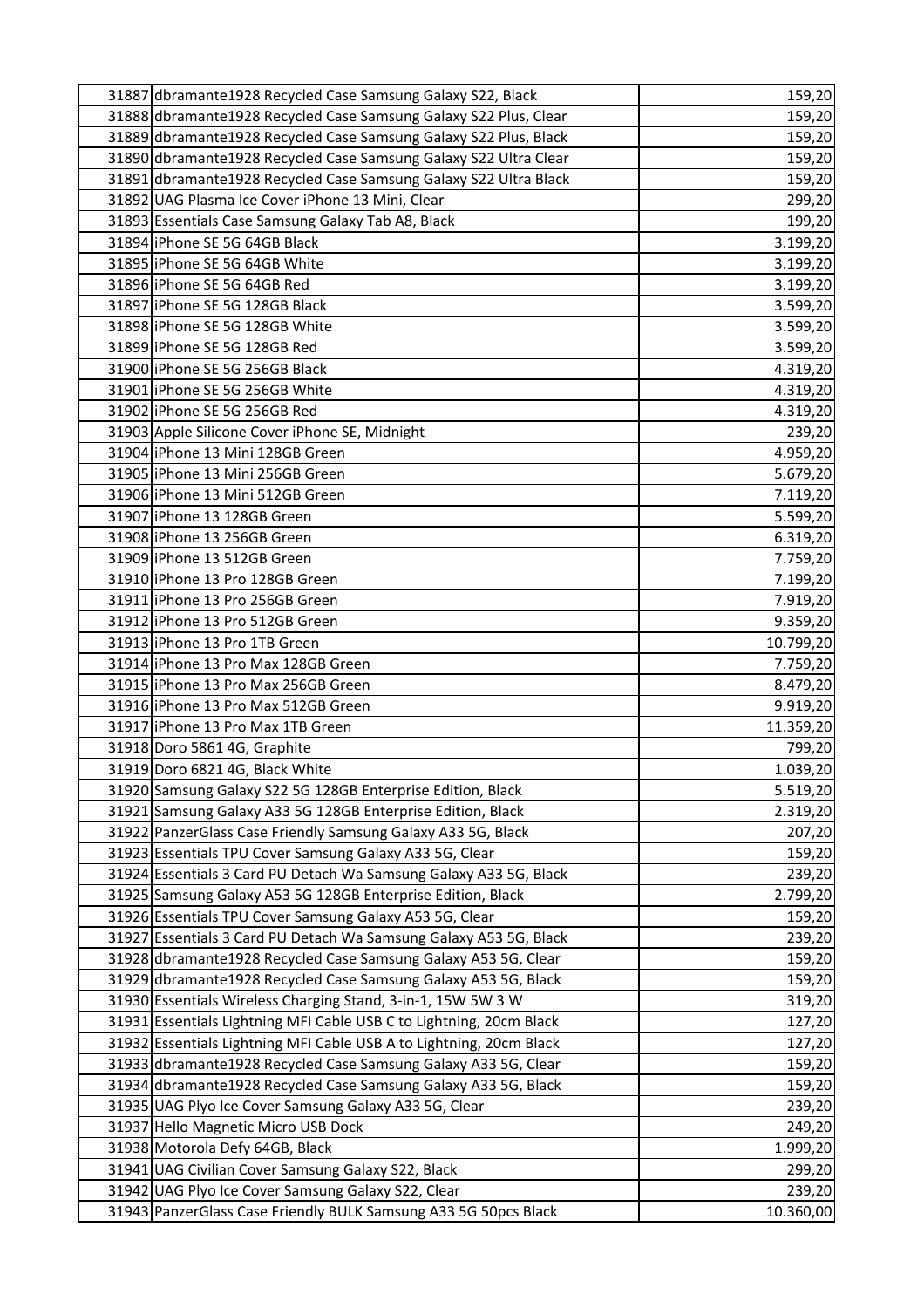| 31887 dbramante1928 Recycled Case Samsung Galaxy S22, Black                                                             | 159,20           |
|-------------------------------------------------------------------------------------------------------------------------|------------------|
| 31888 dbramante 1928 Recycled Case Samsung Galaxy S22 Plus, Clear                                                       | 159,20           |
| 31889 dbramante1928 Recycled Case Samsung Galaxy S22 Plus, Black                                                        | 159,20           |
| 31890 dbramante1928 Recycled Case Samsung Galaxy S22 Ultra Clear                                                        | 159,20           |
| 31891 dbramante1928 Recycled Case Samsung Galaxy S22 Ultra Black                                                        | 159,20           |
| 31892 UAG Plasma Ice Cover iPhone 13 Mini, Clear                                                                        | 299,20           |
| 31893 Essentials Case Samsung Galaxy Tab A8, Black                                                                      | 199,20           |
| 31894 iPhone SE 5G 64GB Black                                                                                           | 3.199,20         |
| 31895 iPhone SE 5G 64GB White                                                                                           | 3.199,20         |
| 31896 iPhone SE 5G 64GB Red                                                                                             | 3.199,20         |
| 31897 iPhone SE 5G 128GB Black                                                                                          | 3.599,20         |
| 31898 iPhone SE 5G 128GB White                                                                                          | 3.599,20         |
| 31899 iPhone SE 5G 128GB Red                                                                                            | 3.599,20         |
| 31900 iPhone SE 5G 256GB Black                                                                                          | 4.319,20         |
| 31901 iPhone SE 5G 256GB White                                                                                          | 4.319,20         |
| 31902 iPhone SE 5G 256GB Red                                                                                            | 4.319,20         |
| 31903 Apple Silicone Cover iPhone SE, Midnight                                                                          | 239,20           |
| 31904 iPhone 13 Mini 128GB Green                                                                                        | 4.959,20         |
| 31905 iPhone 13 Mini 256GB Green                                                                                        | 5.679,20         |
| 31906 iPhone 13 Mini 512GB Green                                                                                        | 7.119,20         |
| 31907 iPhone 13 128GB Green                                                                                             | 5.599,20         |
| 31908 iPhone 13 256GB Green                                                                                             | 6.319,20         |
| 31909 iPhone 13 512GB Green                                                                                             | 7.759,20         |
| 31910 iPhone 13 Pro 128GB Green                                                                                         | 7.199,20         |
| 31911 iPhone 13 Pro 256GB Green                                                                                         | 7.919,20         |
| 31912   iPhone 13 Pro 512GB Green                                                                                       | 9.359,20         |
| 31913 iPhone 13 Pro 1TB Green                                                                                           | 10.799,20        |
| 31914 iPhone 13 Pro Max 128GB Green                                                                                     | 7.759,20         |
| 31915 iPhone 13 Pro Max 256GB Green                                                                                     | 8.479,20         |
| 31916 iPhone 13 Pro Max 512GB Green                                                                                     | 9.919,20         |
| 31917 iPhone 13 Pro Max 1TB Green                                                                                       | 11.359,20        |
| 31918 Doro 5861 4G, Graphite                                                                                            | 799,20           |
| 31919 Doro 6821 4G, Black White                                                                                         | 1.039,20         |
| 31920 Samsung Galaxy S22 5G 128GB Enterprise Edition, Black                                                             | 5.519,20         |
| 31921 Samsung Galaxy A33 5G 128GB Enterprise Edition, Black                                                             | 2.319,20         |
| 31922 PanzerGlass Case Friendly Samsung Galaxy A33 5G, Black                                                            | 207,20           |
| 31923 Essentials TPU Cover Samsung Galaxy A33 5G, Clear                                                                 | 159,20           |
| 31924 Essentials 3 Card PU Detach Wa Samsung Galaxy A33 5G, Black                                                       | 239,20           |
| 31925 Samsung Galaxy A53 5G 128GB Enterprise Edition, Black                                                             | 2.799,20         |
| 31926 Essentials TPU Cover Samsung Galaxy A53 5G, Clear                                                                 | 159,20           |
| 31927 Essentials 3 Card PU Detach Wa Samsung Galaxy A53 5G, Black                                                       | 239,20           |
| 31928 dbramante1928 Recycled Case Samsung Galaxy A53 5G, Clear                                                          | 159,20           |
| 31929 dbramante1928 Recycled Case Samsung Galaxy A53 5G, Black                                                          | 159,20           |
| 31930 Essentials Wireless Charging Stand, 3-in-1, 15W 5W 3 W                                                            | 319,20           |
| 31931 Essentials Lightning MFI Cable USB C to Lightning, 20cm Black                                                     | 127,20           |
| 31932 Essentials Lightning MFI Cable USB A to Lightning, 20cm Black                                                     | 127,20           |
| 31933 dbramante1928 Recycled Case Samsung Galaxy A33 5G, Clear                                                          | 159,20           |
| 31934 dbramante1928 Recycled Case Samsung Galaxy A33 5G, Black<br>31935 UAG Plyo Ice Cover Samsung Galaxy A33 5G, Clear | 159,20<br>239,20 |
| 31937 Hello Magnetic Micro USB Dock                                                                                     | 249,20           |
| 31938 Motorola Defy 64GB, Black                                                                                         | 1.999,20         |
| 31941 UAG Civilian Cover Samsung Galaxy S22, Black                                                                      | 299,20           |
| 31942 UAG Plyo Ice Cover Samsung Galaxy S22, Clear                                                                      | 239,20           |
| 31943 PanzerGlass Case Friendly BULK Samsung A33 5G 50pcs Black                                                         | 10.360,00        |
|                                                                                                                         |                  |